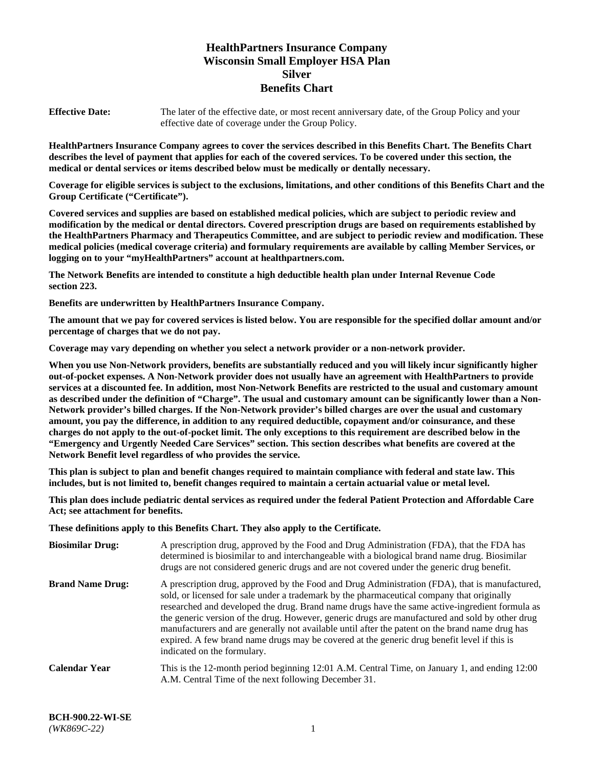# **HealthPartners Insurance Company Wisconsin Small Employer HSA Plan Silver Benefits Chart**

**Effective Date:** The later of the effective date, or most recent anniversary date, of the Group Policy and your effective date of coverage under the Group Policy.

**HealthPartners Insurance Company agrees to cover the services described in this Benefits Chart. The Benefits Chart describes the level of payment that applies for each of the covered services. To be covered under this section, the medical or dental services or items described below must be medically or dentally necessary.**

**Coverage for eligible services is subject to the exclusions, limitations, and other conditions of this Benefits Chart and the Group Certificate ("Certificate").**

**Covered services and supplies are based on established medical policies, which are subject to periodic review and modification by the medical or dental directors. Covered prescription drugs are based on requirements established by the HealthPartners Pharmacy and Therapeutics Committee, and are subject to periodic review and modification. These medical policies (medical coverage criteria) and formulary requirements are available by calling Member Services, or logging on to your "myHealthPartners" account at [healthpartners.com.](https://www.healthpartners.com/hp/index.html)** 

**The Network Benefits are intended to constitute a high deductible health plan under Internal Revenue Code section 223.**

**Benefits are underwritten by HealthPartners Insurance Company.**

**The amount that we pay for covered services is listed below. You are responsible for the specified dollar amount and/or percentage of charges that we do not pay.**

**Coverage may vary depending on whether you select a network provider or a non-network provider.**

**When you use Non-Network providers, benefits are substantially reduced and you will likely incur significantly higher out-of-pocket expenses. A Non-Network provider does not usually have an agreement with HealthPartners to provide services at a discounted fee. In addition, most Non-Network Benefits are restricted to the usual and customary amount as described under the definition of "Charge". The usual and customary amount can be significantly lower than a Non-Network provider's billed charges. If the Non-Network provider's billed charges are over the usual and customary amount, you pay the difference, in addition to any required deductible, copayment and/or coinsurance, and these charges do not apply to the out-of-pocket limit. The only exceptions to this requirement are described below in the "Emergency and Urgently Needed Care Services" section. This section describes what benefits are covered at the Network Benefit level regardless of who provides the service.**

**This plan is subject to plan and benefit changes required to maintain compliance with federal and state law. This includes, but is not limited to, benefit changes required to maintain a certain actuarial value or metal level.**

**This plan does include pediatric dental services as required under the federal Patient Protection and Affordable Care Act; see attachment for benefits.**

**These definitions apply to this Benefits Chart. They also apply to the Certificate.**

| <b>Biosimilar Drug:</b> | A prescription drug, approved by the Food and Drug Administration (FDA), that the FDA has<br>determined is biosimilar to and interchangeable with a biological brand name drug. Biosimilar<br>drugs are not considered generic drugs and are not covered under the generic drug benefit.                                                                                                                                                                                                                                                                                                                                           |
|-------------------------|------------------------------------------------------------------------------------------------------------------------------------------------------------------------------------------------------------------------------------------------------------------------------------------------------------------------------------------------------------------------------------------------------------------------------------------------------------------------------------------------------------------------------------------------------------------------------------------------------------------------------------|
| <b>Brand Name Drug:</b> | A prescription drug, approved by the Food and Drug Administration (FDA), that is manufactured,<br>sold, or licensed for sale under a trademark by the pharmaceutical company that originally<br>researched and developed the drug. Brand name drugs have the same active-ingredient formula as<br>the generic version of the drug. However, generic drugs are manufactured and sold by other drug<br>manufacturers and are generally not available until after the patent on the brand name drug has<br>expired. A few brand name drugs may be covered at the generic drug benefit level if this is<br>indicated on the formulary. |
| <b>Calendar Year</b>    | This is the 12-month period beginning 12:01 A.M. Central Time, on January 1, and ending 12:00<br>A.M. Central Time of the next following December 31.                                                                                                                                                                                                                                                                                                                                                                                                                                                                              |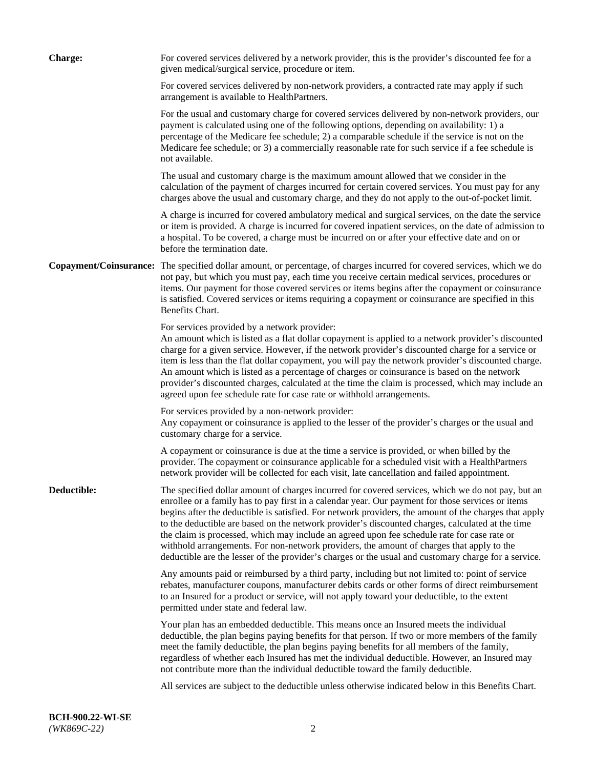| <b>Charge:</b> | For covered services delivered by a network provider, this is the provider's discounted fee for a<br>given medical/surgical service, procedure or item.                                                                                                                                                                                                                                                                                                                                                                                                                                                                                                                                                                 |
|----------------|-------------------------------------------------------------------------------------------------------------------------------------------------------------------------------------------------------------------------------------------------------------------------------------------------------------------------------------------------------------------------------------------------------------------------------------------------------------------------------------------------------------------------------------------------------------------------------------------------------------------------------------------------------------------------------------------------------------------------|
|                | For covered services delivered by non-network providers, a contracted rate may apply if such<br>arrangement is available to HealthPartners.                                                                                                                                                                                                                                                                                                                                                                                                                                                                                                                                                                             |
|                | For the usual and customary charge for covered services delivered by non-network providers, our<br>payment is calculated using one of the following options, depending on availability: 1) a<br>percentage of the Medicare fee schedule; 2) a comparable schedule if the service is not on the<br>Medicare fee schedule; or 3) a commercially reasonable rate for such service if a fee schedule is<br>not available.                                                                                                                                                                                                                                                                                                   |
|                | The usual and customary charge is the maximum amount allowed that we consider in the<br>calculation of the payment of charges incurred for certain covered services. You must pay for any<br>charges above the usual and customary charge, and they do not apply to the out-of-pocket limit.                                                                                                                                                                                                                                                                                                                                                                                                                            |
|                | A charge is incurred for covered ambulatory medical and surgical services, on the date the service<br>or item is provided. A charge is incurred for covered inpatient services, on the date of admission to<br>a hospital. To be covered, a charge must be incurred on or after your effective date and on or<br>before the termination date.                                                                                                                                                                                                                                                                                                                                                                           |
|                | Copayment/Coinsurance: The specified dollar amount, or percentage, of charges incurred for covered services, which we do<br>not pay, but which you must pay, each time you receive certain medical services, procedures or<br>items. Our payment for those covered services or items begins after the copayment or coinsurance<br>is satisfied. Covered services or items requiring a copayment or coinsurance are specified in this<br>Benefits Chart.                                                                                                                                                                                                                                                                 |
|                | For services provided by a network provider:<br>An amount which is listed as a flat dollar copayment is applied to a network provider's discounted<br>charge for a given service. However, if the network provider's discounted charge for a service or<br>item is less than the flat dollar copayment, you will pay the network provider's discounted charge.<br>An amount which is listed as a percentage of charges or coinsurance is based on the network<br>provider's discounted charges, calculated at the time the claim is processed, which may include an<br>agreed upon fee schedule rate for case rate or withhold arrangements.                                                                            |
|                | For services provided by a non-network provider:<br>Any copayment or coinsurance is applied to the lesser of the provider's charges or the usual and<br>customary charge for a service.                                                                                                                                                                                                                                                                                                                                                                                                                                                                                                                                 |
|                | A copayment or coinsurance is due at the time a service is provided, or when billed by the<br>provider. The copayment or coinsurance applicable for a scheduled visit with a HealthPartners<br>network provider will be collected for each visit, late cancellation and failed appointment.                                                                                                                                                                                                                                                                                                                                                                                                                             |
| Deductible:    | The specified dollar amount of charges incurred for covered services, which we do not pay, but an<br>enrollee or a family has to pay first in a calendar year. Our payment for those services or items<br>begins after the deductible is satisfied. For network providers, the amount of the charges that apply<br>to the deductible are based on the network provider's discounted charges, calculated at the time<br>the claim is processed, which may include an agreed upon fee schedule rate for case rate or<br>withhold arrangements. For non-network providers, the amount of charges that apply to the<br>deductible are the lesser of the provider's charges or the usual and customary charge for a service. |
|                | Any amounts paid or reimbursed by a third party, including but not limited to: point of service<br>rebates, manufacturer coupons, manufacturer debits cards or other forms of direct reimbursement<br>to an Insured for a product or service, will not apply toward your deductible, to the extent<br>permitted under state and federal law.                                                                                                                                                                                                                                                                                                                                                                            |
|                | Your plan has an embedded deductible. This means once an Insured meets the individual<br>deductible, the plan begins paying benefits for that person. If two or more members of the family<br>meet the family deductible, the plan begins paying benefits for all members of the family,<br>regardless of whether each Insured has met the individual deductible. However, an Insured may<br>not contribute more than the individual deductible toward the family deductible.                                                                                                                                                                                                                                           |
|                | All services are subject to the deductible unless otherwise indicated below in this Benefits Chart.                                                                                                                                                                                                                                                                                                                                                                                                                                                                                                                                                                                                                     |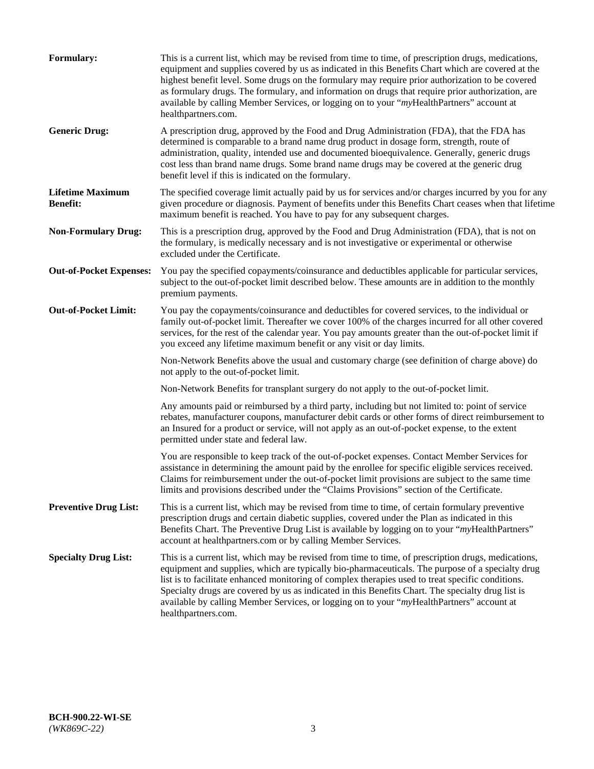| Formulary:                                 | This is a current list, which may be revised from time to time, of prescription drugs, medications,<br>equipment and supplies covered by us as indicated in this Benefits Chart which are covered at the<br>highest benefit level. Some drugs on the formulary may require prior authorization to be covered<br>as formulary drugs. The formulary, and information on drugs that require prior authorization, are<br>available by calling Member Services, or logging on to your "myHealthPartners" account at<br>healthpartners.com. |
|--------------------------------------------|---------------------------------------------------------------------------------------------------------------------------------------------------------------------------------------------------------------------------------------------------------------------------------------------------------------------------------------------------------------------------------------------------------------------------------------------------------------------------------------------------------------------------------------|
| <b>Generic Drug:</b>                       | A prescription drug, approved by the Food and Drug Administration (FDA), that the FDA has<br>determined is comparable to a brand name drug product in dosage form, strength, route of<br>administration, quality, intended use and documented bioequivalence. Generally, generic drugs<br>cost less than brand name drugs. Some brand name drugs may be covered at the generic drug<br>benefit level if this is indicated on the formulary.                                                                                           |
| <b>Lifetime Maximum</b><br><b>Benefit:</b> | The specified coverage limit actually paid by us for services and/or charges incurred by you for any<br>given procedure or diagnosis. Payment of benefits under this Benefits Chart ceases when that lifetime<br>maximum benefit is reached. You have to pay for any subsequent charges.                                                                                                                                                                                                                                              |
| <b>Non-Formulary Drug:</b>                 | This is a prescription drug, approved by the Food and Drug Administration (FDA), that is not on<br>the formulary, is medically necessary and is not investigative or experimental or otherwise<br>excluded under the Certificate.                                                                                                                                                                                                                                                                                                     |
| <b>Out-of-Pocket Expenses:</b>             | You pay the specified copayments/coinsurance and deductibles applicable for particular services,<br>subject to the out-of-pocket limit described below. These amounts are in addition to the monthly<br>premium payments.                                                                                                                                                                                                                                                                                                             |
| <b>Out-of-Pocket Limit:</b>                | You pay the copayments/coinsurance and deductibles for covered services, to the individual or<br>family out-of-pocket limit. Thereafter we cover 100% of the charges incurred for all other covered<br>services, for the rest of the calendar year. You pay amounts greater than the out-of-pocket limit if<br>you exceed any lifetime maximum benefit or any visit or day limits.                                                                                                                                                    |
|                                            | Non-Network Benefits above the usual and customary charge (see definition of charge above) do<br>not apply to the out-of-pocket limit.                                                                                                                                                                                                                                                                                                                                                                                                |
|                                            | Non-Network Benefits for transplant surgery do not apply to the out-of-pocket limit.                                                                                                                                                                                                                                                                                                                                                                                                                                                  |
|                                            | Any amounts paid or reimbursed by a third party, including but not limited to: point of service<br>rebates, manufacturer coupons, manufacturer debit cards or other forms of direct reimbursement to<br>an Insured for a product or service, will not apply as an out-of-pocket expense, to the extent<br>permitted under state and federal law.                                                                                                                                                                                      |
|                                            | You are responsible to keep track of the out-of-pocket expenses. Contact Member Services for<br>assistance in determining the amount paid by the enrollee for specific eligible services received.<br>Claims for reimbursement under the out-of-pocket limit provisions are subject to the same time<br>limits and provisions described under the "Claims Provisions" section of the Certificate.                                                                                                                                     |
| <b>Preventive Drug List:</b>               | This is a current list, which may be revised from time to time, of certain formulary preventive<br>prescription drugs and certain diabetic supplies, covered under the Plan as indicated in this<br>Benefits Chart. The Preventive Drug List is available by logging on to your "myHealthPartners"<br>account at healthpartners.com or by calling Member Services.                                                                                                                                                                    |
| <b>Specialty Drug List:</b>                | This is a current list, which may be revised from time to time, of prescription drugs, medications,<br>equipment and supplies, which are typically bio-pharmaceuticals. The purpose of a specialty drug<br>list is to facilitate enhanced monitoring of complex therapies used to treat specific conditions.<br>Specialty drugs are covered by us as indicated in this Benefits Chart. The specialty drug list is<br>available by calling Member Services, or logging on to your "myHealthPartners" account at<br>healthpartners.com. |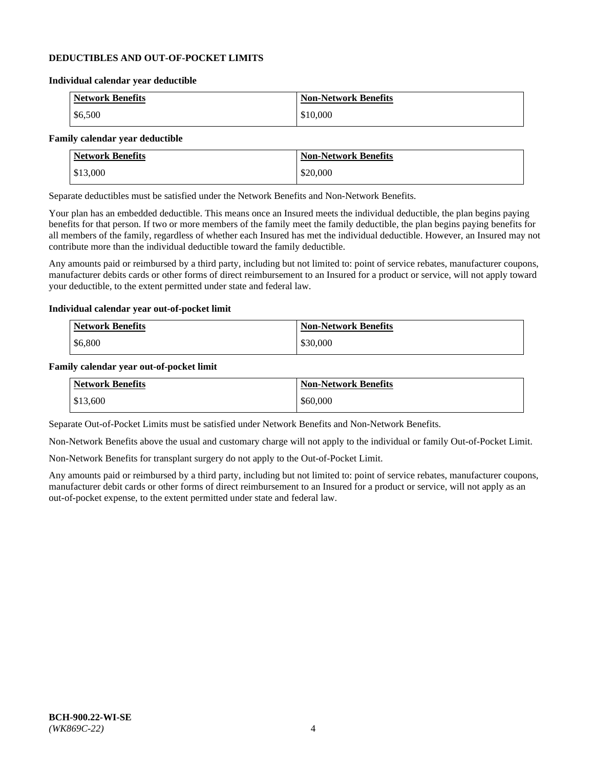### **DEDUCTIBLES AND OUT-OF-POCKET LIMITS**

#### **Individual calendar year deductible**

| <b>Network Benefits</b> | <b>Non-Network Benefits</b> |
|-------------------------|-----------------------------|
| $\frac{$6,500}{}$       | \$10,000                    |

### **Family calendar year deductible**

| <b>Network Benefits</b> | <b>Non-Network Benefits</b> |
|-------------------------|-----------------------------|
| \$13,000                | \$20,000                    |

Separate deductibles must be satisfied under the Network Benefits and Non-Network Benefits.

Your plan has an embedded deductible. This means once an Insured meets the individual deductible, the plan begins paying benefits for that person. If two or more members of the family meet the family deductible, the plan begins paying benefits for all members of the family, regardless of whether each Insured has met the individual deductible. However, an Insured may not contribute more than the individual deductible toward the family deductible.

Any amounts paid or reimbursed by a third party, including but not limited to: point of service rebates, manufacturer coupons, manufacturer debits cards or other forms of direct reimbursement to an Insured for a product or service, will not apply toward your deductible, to the extent permitted under state and federal law.

#### **Individual calendar year out-of-pocket limit**

| Network Benefits | <b>Non-Network Benefits</b> |
|------------------|-----------------------------|
| \$6,800          | \$30,000                    |

#### **Family calendar year out-of-pocket limit**

| <b>Network Benefits</b> | <b>Non-Network Benefits</b> |
|-------------------------|-----------------------------|
| \$13,600                | \$60,000                    |

Separate Out-of-Pocket Limits must be satisfied under Network Benefits and Non-Network Benefits.

Non-Network Benefits above the usual and customary charge will not apply to the individual or family Out-of-Pocket Limit.

Non-Network Benefits for transplant surgery do not apply to the Out-of-Pocket Limit.

Any amounts paid or reimbursed by a third party, including but not limited to: point of service rebates, manufacturer coupons, manufacturer debit cards or other forms of direct reimbursement to an Insured for a product or service, will not apply as an out-of-pocket expense, to the extent permitted under state and federal law.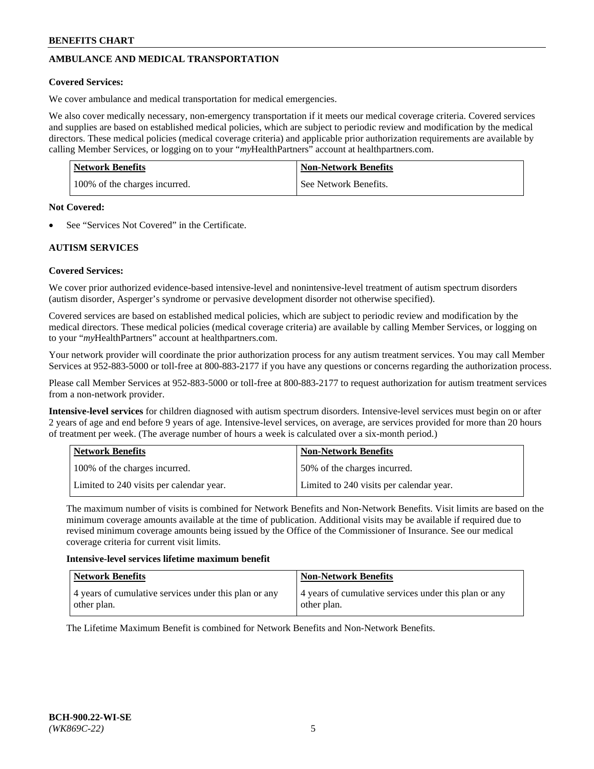# **AMBULANCE AND MEDICAL TRANSPORTATION**

### **Covered Services:**

We cover ambulance and medical transportation for medical emergencies.

We also cover medically necessary, non-emergency transportation if it meets our medical coverage criteria. Covered services and supplies are based on established medical policies, which are subject to periodic review and modification by the medical directors. These medical policies (medical coverage criteria) and applicable prior authorization requirements are available by calling Member Services, or logging on to your "*my*HealthPartners" account a[t healthpartners.com.](https://www.healthpartners.com/hp/index.html)

| <b>Network Benefits</b>       | Non-Network Benefits  |
|-------------------------------|-----------------------|
| 100% of the charges incurred. | See Network Benefits. |

#### **Not Covered:**

See "Services Not Covered" in the Certificate.

# **AUTISM SERVICES**

### **Covered Services:**

We cover prior authorized evidence-based intensive-level and nonintensive-level treatment of autism spectrum disorders (autism disorder, Asperger's syndrome or pervasive development disorder not otherwise specified).

Covered services are based on established medical policies, which are subject to periodic review and modification by the medical directors. These medical policies (medical coverage criteria) are available by calling Member Services, or logging on to your "*my*HealthPartners" account at [healthpartners.com.](https://www.healthpartners.com/hp/index.html)

Your network provider will coordinate the prior authorization process for any autism treatment services. You may call Member Services at 952-883-5000 or toll-free at 800-883-2177 if you have any questions or concerns regarding the authorization process.

Please call Member Services at 952-883-5000 or toll-free at 800-883-2177 to request authorization for autism treatment services from a non-network provider.

**Intensive-level services** for children diagnosed with autism spectrum disorders. Intensive-level services must begin on or after 2 years of age and end before 9 years of age. Intensive-level services, on average, are services provided for more than 20 hours of treatment per week. (The average number of hours a week is calculated over a six-month period.)

| Network Benefits                         | <b>Non-Network Benefits</b>              |
|------------------------------------------|------------------------------------------|
| 100% of the charges incurred.            | 50% of the charges incurred.             |
| Limited to 240 visits per calendar year. | Limited to 240 visits per calendar year. |

The maximum number of visits is combined for Network Benefits and Non-Network Benefits. Visit limits are based on the minimum coverage amounts available at the time of publication. Additional visits may be available if required due to revised minimum coverage amounts being issued by the Office of the Commissioner of Insurance. See our medical coverage criteria for current visit limits.

#### **Intensive-level services lifetime maximum benefit**

| <b>Network Benefits</b>                               | <b>Non-Network Benefits</b>                           |
|-------------------------------------------------------|-------------------------------------------------------|
| 4 years of cumulative services under this plan or any | 4 years of cumulative services under this plan or any |
| other plan.                                           | other plan.                                           |

The Lifetime Maximum Benefit is combined for Network Benefits and Non-Network Benefits.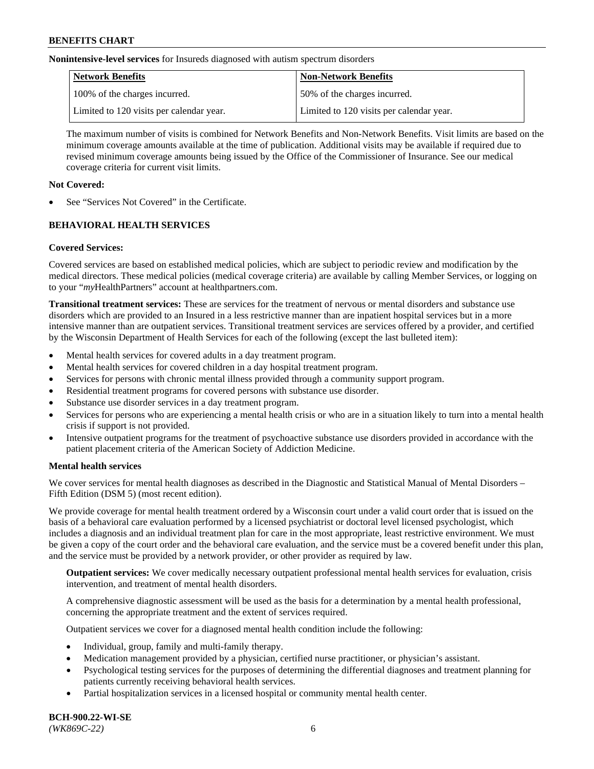**Nonintensive-level services** for Insureds diagnosed with autism spectrum disorders

| Network Benefits                         | <b>Non-Network Benefits</b>              |
|------------------------------------------|------------------------------------------|
| 100% of the charges incurred.            | 50% of the charges incurred.             |
| Limited to 120 visits per calendar year. | Limited to 120 visits per calendar year. |

The maximum number of visits is combined for Network Benefits and Non-Network Benefits. Visit limits are based on the minimum coverage amounts available at the time of publication. Additional visits may be available if required due to revised minimum coverage amounts being issued by the Office of the Commissioner of Insurance. See our medical coverage criteria for current visit limits.

# **Not Covered:**

See "Services Not Covered" in the Certificate.

# **BEHAVIORAL HEALTH SERVICES**

### **Covered Services:**

Covered services are based on established medical policies, which are subject to periodic review and modification by the medical directors. These medical policies (medical coverage criteria) are available by calling Member Services, or logging on to your "*my*HealthPartners" account at [healthpartners.com.](https://www.healthpartners.com/hp/index.html)

**Transitional treatment services:** These are services for the treatment of nervous or mental disorders and substance use disorders which are provided to an Insured in a less restrictive manner than are inpatient hospital services but in a more intensive manner than are outpatient services. Transitional treatment services are services offered by a provider, and certified by the Wisconsin Department of Health Services for each of the following (except the last bulleted item):

- Mental health services for covered adults in a day treatment program.
- Mental health services for covered children in a day hospital treatment program.
- Services for persons with chronic mental illness provided through a community support program.
- Residential treatment programs for covered persons with substance use disorder.
- Substance use disorder services in a day treatment program.
- Services for persons who are experiencing a mental health crisis or who are in a situation likely to turn into a mental health crisis if support is not provided.
- Intensive outpatient programs for the treatment of psychoactive substance use disorders provided in accordance with the patient placement criteria of the American Society of Addiction Medicine.

### **Mental health services**

We cover services for mental health diagnoses as described in the Diagnostic and Statistical Manual of Mental Disorders – Fifth Edition (DSM 5) (most recent edition).

We provide coverage for mental health treatment ordered by a Wisconsin court under a valid court order that is issued on the basis of a behavioral care evaluation performed by a licensed psychiatrist or doctoral level licensed psychologist, which includes a diagnosis and an individual treatment plan for care in the most appropriate, least restrictive environment. We must be given a copy of the court order and the behavioral care evaluation, and the service must be a covered benefit under this plan, and the service must be provided by a network provider, or other provider as required by law.

**Outpatient services:** We cover medically necessary outpatient professional mental health services for evaluation, crisis intervention, and treatment of mental health disorders.

A comprehensive diagnostic assessment will be used as the basis for a determination by a mental health professional, concerning the appropriate treatment and the extent of services required.

Outpatient services we cover for a diagnosed mental health condition include the following:

- Individual, group, family and multi-family therapy.
- Medication management provided by a physician, certified nurse practitioner, or physician's assistant.
- Psychological testing services for the purposes of determining the differential diagnoses and treatment planning for patients currently receiving behavioral health services.
- Partial hospitalization services in a licensed hospital or community mental health center.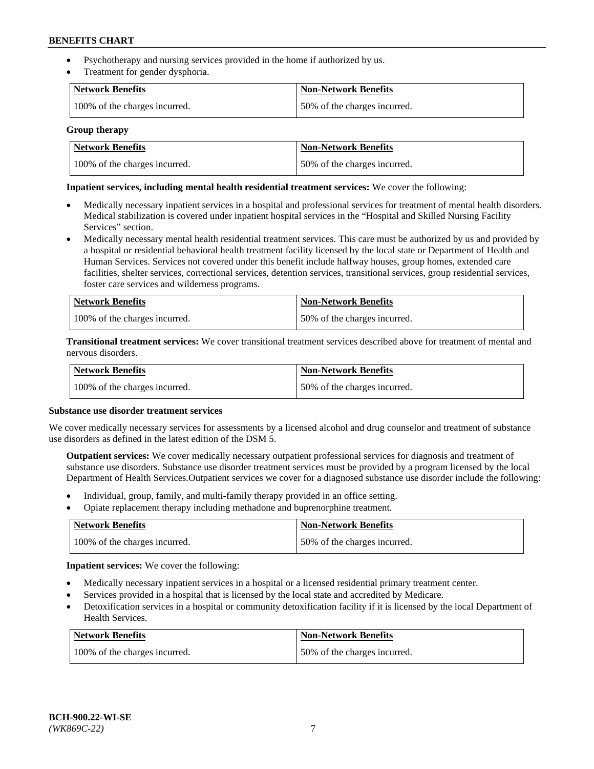- Psychotherapy and nursing services provided in the home if authorized by us.
- Treatment for gender dysphoria.

| Network Benefits              | <b>Non-Network Benefits</b>  |
|-------------------------------|------------------------------|
| 100% of the charges incurred. | 50% of the charges incurred. |

#### **Group therapy**

| Network Benefits              | Non-Network Benefits         |
|-------------------------------|------------------------------|
| 100% of the charges incurred. | 50% of the charges incurred. |

### **Inpatient services, including mental health residential treatment services:** We cover the following:

- Medically necessary inpatient services in a hospital and professional services for treatment of mental health disorders. Medical stabilization is covered under inpatient hospital services in the "Hospital and Skilled Nursing Facility Services" section.
- Medically necessary mental health residential treatment services. This care must be authorized by us and provided by a hospital or residential behavioral health treatment facility licensed by the local state or Department of Health and Human Services. Services not covered under this benefit include halfway houses, group homes, extended care facilities, shelter services, correctional services, detention services, transitional services, group residential services, foster care services and wilderness programs.

| Network Benefits              | <b>Non-Network Benefits</b>  |
|-------------------------------|------------------------------|
| 100% of the charges incurred. | 50% of the charges incurred. |

**Transitional treatment services:** We cover transitional treatment services described above for treatment of mental and nervous disorders.

| Network Benefits              | <b>Non-Network Benefits</b>  |
|-------------------------------|------------------------------|
| 100% of the charges incurred. | 50% of the charges incurred. |

#### **Substance use disorder treatment services**

We cover medically necessary services for assessments by a licensed alcohol and drug counselor and treatment of substance use disorders as defined in the latest edition of the DSM 5.

**Outpatient services:** We cover medically necessary outpatient professional services for diagnosis and treatment of substance use disorders. Substance use disorder treatment services must be provided by a program licensed by the local Department of Health Services.Outpatient services we cover for a diagnosed substance use disorder include the following:

- Individual, group, family, and multi-family therapy provided in an office setting.
- Opiate replacement therapy including methadone and buprenorphine treatment.

| Network Benefits              | <b>Non-Network Benefits</b>  |
|-------------------------------|------------------------------|
| 100% of the charges incurred. | 50% of the charges incurred. |

**Inpatient services:** We cover the following:

- Medically necessary inpatient services in a hospital or a licensed residential primary treatment center.
- Services provided in a hospital that is licensed by the local state and accredited by Medicare.
- Detoxification services in a hospital or community detoxification facility if it is licensed by the local Department of Health Services.

| Network Benefits              | <b>Non-Network Benefits</b>  |
|-------------------------------|------------------------------|
| 100% of the charges incurred. | 50% of the charges incurred. |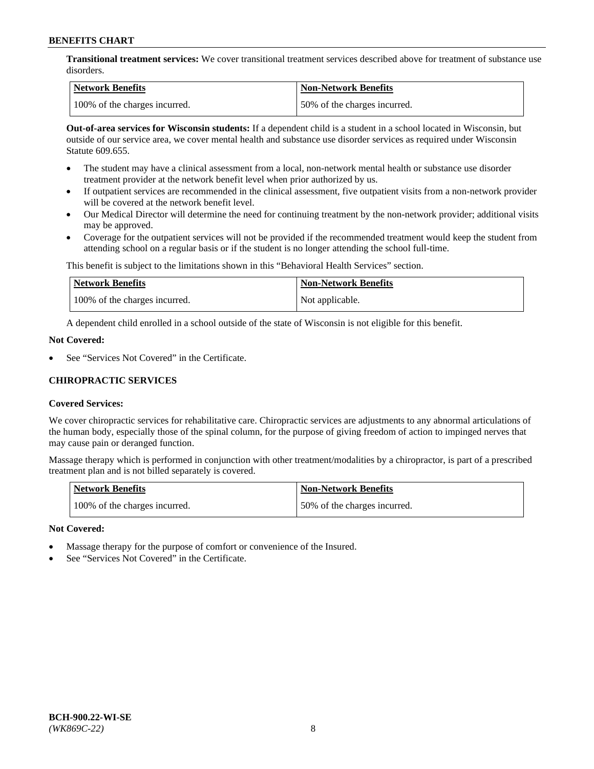**Transitional treatment services:** We cover transitional treatment services described above for treatment of substance use disorders.

| Network Benefits              | <b>Non-Network Benefits</b>  |
|-------------------------------|------------------------------|
| 100% of the charges incurred. | 50% of the charges incurred. |

**Out-of-area services for Wisconsin students:** If a dependent child is a student in a school located in Wisconsin, but outside of our service area, we cover mental health and substance use disorder services as required under Wisconsin Statute 609.655.

- The student may have a clinical assessment from a local, non-network mental health or substance use disorder treatment provider at the network benefit level when prior authorized by us.
- If outpatient services are recommended in the clinical assessment, five outpatient visits from a non-network provider will be covered at the network benefit level.
- Our Medical Director will determine the need for continuing treatment by the non-network provider; additional visits may be approved.
- Coverage for the outpatient services will not be provided if the recommended treatment would keep the student from attending school on a regular basis or if the student is no longer attending the school full-time.

This benefit is subject to the limitations shown in this "Behavioral Health Services" section.

| Network Benefits              | <b>Non-Network Benefits</b> |
|-------------------------------|-----------------------------|
| 100% of the charges incurred. | Not applicable.             |

A dependent child enrolled in a school outside of the state of Wisconsin is not eligible for this benefit.

### **Not Covered:**

See "Services Not Covered" in the Certificate.

### **CHIROPRACTIC SERVICES**

### **Covered Services:**

We cover chiropractic services for rehabilitative care. Chiropractic services are adjustments to any abnormal articulations of the human body, especially those of the spinal column, for the purpose of giving freedom of action to impinged nerves that may cause pain or deranged function.

Massage therapy which is performed in conjunction with other treatment/modalities by a chiropractor, is part of a prescribed treatment plan and is not billed separately is covered.

| <b>Network Benefits</b>       | <b>Non-Network Benefits</b>  |
|-------------------------------|------------------------------|
| 100% of the charges incurred. | 50% of the charges incurred. |

### **Not Covered:**

- Massage therapy for the purpose of comfort or convenience of the Insured.
- See "Services Not Covered" in the Certificate.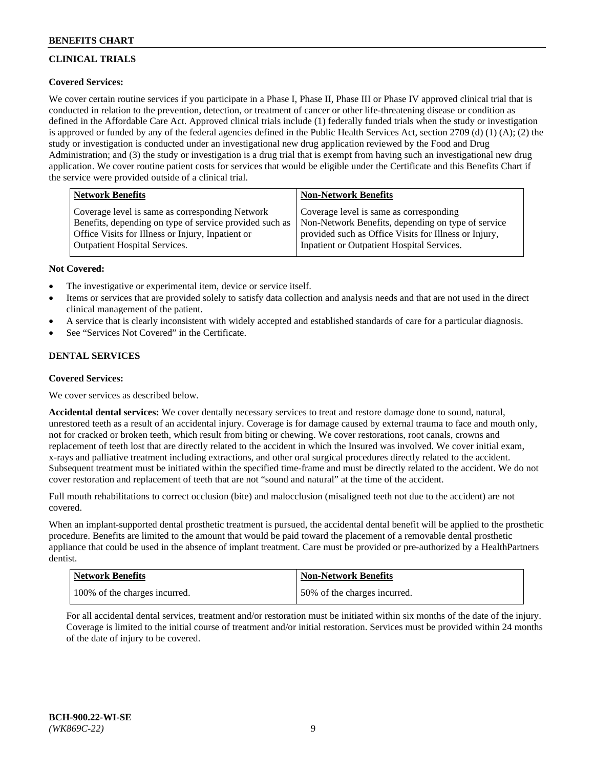# **CLINICAL TRIALS**

# **Covered Services:**

We cover certain routine services if you participate in a Phase I, Phase II, Phase III or Phase IV approved clinical trial that is conducted in relation to the prevention, detection, or treatment of cancer or other life-threatening disease or condition as defined in the Affordable Care Act. Approved clinical trials include (1) federally funded trials when the study or investigation is approved or funded by any of the federal agencies defined in the Public Health Services Act, section 2709 (d) (1) (A); (2) the study or investigation is conducted under an investigational new drug application reviewed by the Food and Drug Administration; and (3) the study or investigation is a drug trial that is exempt from having such an investigational new drug application. We cover routine patient costs for services that would be eligible under the Certificate and this Benefits Chart if the service were provided outside of a clinical trial.

| <b>Network Benefits</b>                                                                                                                                         | <b>Non-Network Benefits</b>                                                                                                                            |
|-----------------------------------------------------------------------------------------------------------------------------------------------------------------|--------------------------------------------------------------------------------------------------------------------------------------------------------|
| Coverage level is same as corresponding Network<br>Benefits, depending on type of service provided such as<br>Office Visits for Illness or Injury, Inpatient or | Coverage level is same as corresponding<br>Non-Network Benefits, depending on type of service<br>provided such as Office Visits for Illness or Injury, |
| <b>Outpatient Hospital Services.</b>                                                                                                                            | Inpatient or Outpatient Hospital Services.                                                                                                             |

### **Not Covered:**

- The investigative or experimental item, device or service itself.
- Items or services that are provided solely to satisfy data collection and analysis needs and that are not used in the direct clinical management of the patient.
- A service that is clearly inconsistent with widely accepted and established standards of care for a particular diagnosis.
- See "Services Not Covered" in the Certificate.

### **DENTAL SERVICES**

### **Covered Services:**

We cover services as described below.

**Accidental dental services:** We cover dentally necessary services to treat and restore damage done to sound, natural, unrestored teeth as a result of an accidental injury. Coverage is for damage caused by external trauma to face and mouth only, not for cracked or broken teeth, which result from biting or chewing. We cover restorations, root canals, crowns and replacement of teeth lost that are directly related to the accident in which the Insured was involved. We cover initial exam, x-rays and palliative treatment including extractions, and other oral surgical procedures directly related to the accident. Subsequent treatment must be initiated within the specified time-frame and must be directly related to the accident. We do not cover restoration and replacement of teeth that are not "sound and natural" at the time of the accident.

Full mouth rehabilitations to correct occlusion (bite) and malocclusion (misaligned teeth not due to the accident) are not covered.

When an implant-supported dental prosthetic treatment is pursued, the accidental dental benefit will be applied to the prosthetic procedure. Benefits are limited to the amount that would be paid toward the placement of a removable dental prosthetic appliance that could be used in the absence of implant treatment. Care must be provided or pre-authorized by a HealthPartners dentist.

| Network Benefits              | <b>Non-Network Benefits</b>  |
|-------------------------------|------------------------------|
| 100% of the charges incurred. | 50% of the charges incurred. |

For all accidental dental services, treatment and/or restoration must be initiated within six months of the date of the injury. Coverage is limited to the initial course of treatment and/or initial restoration. Services must be provided within 24 months of the date of injury to be covered.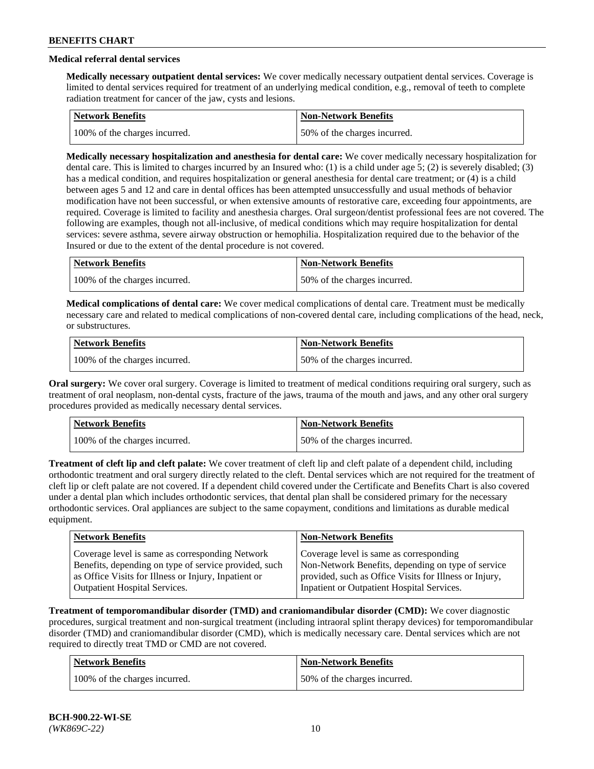# **Medical referral dental services**

**Medically necessary outpatient dental services:** We cover medically necessary outpatient dental services. Coverage is limited to dental services required for treatment of an underlying medical condition, e.g., removal of teeth to complete radiation treatment for cancer of the jaw, cysts and lesions.

| <b>Network Benefits</b>       | Non-Network Benefits         |
|-------------------------------|------------------------------|
| 100% of the charges incurred. | 50% of the charges incurred. |

**Medically necessary hospitalization and anesthesia for dental care:** We cover medically necessary hospitalization for dental care. This is limited to charges incurred by an Insured who: (1) is a child under age 5; (2) is severely disabled; (3) has a medical condition, and requires hospitalization or general anesthesia for dental care treatment; or (4) is a child between ages 5 and 12 and care in dental offices has been attempted unsuccessfully and usual methods of behavior modification have not been successful, or when extensive amounts of restorative care, exceeding four appointments, are required. Coverage is limited to facility and anesthesia charges. Oral surgeon/dentist professional fees are not covered. The following are examples, though not all-inclusive, of medical conditions which may require hospitalization for dental services: severe asthma, severe airway obstruction or hemophilia. Hospitalization required due to the behavior of the Insured or due to the extent of the dental procedure is not covered.

| Network Benefits              | <b>Non-Network Benefits</b>  |
|-------------------------------|------------------------------|
| 100% of the charges incurred. | 50% of the charges incurred. |

**Medical complications of dental care:** We cover medical complications of dental care. Treatment must be medically necessary care and related to medical complications of non-covered dental care, including complications of the head, neck, or substructures.

| Network Benefits              | <b>Non-Network Benefits</b>  |
|-------------------------------|------------------------------|
| 100% of the charges incurred. | 50% of the charges incurred. |

**Oral surgery:** We cover oral surgery. Coverage is limited to treatment of medical conditions requiring oral surgery, such as treatment of oral neoplasm, non-dental cysts, fracture of the jaws, trauma of the mouth and jaws, and any other oral surgery procedures provided as medically necessary dental services.

| Network Benefits              | <b>Non-Network Benefits</b>  |
|-------------------------------|------------------------------|
| 100% of the charges incurred. | 50% of the charges incurred. |

**Treatment of cleft lip and cleft palate:** We cover treatment of cleft lip and cleft palate of a dependent child, including orthodontic treatment and oral surgery directly related to the cleft. Dental services which are not required for the treatment of cleft lip or cleft palate are not covered. If a dependent child covered under the Certificate and Benefits Chart is also covered under a dental plan which includes orthodontic services, that dental plan shall be considered primary for the necessary orthodontic services. Oral appliances are subject to the same copayment, conditions and limitations as durable medical equipment.

| <b>Network Benefits</b>                               | <b>Non-Network Benefits</b>                            |
|-------------------------------------------------------|--------------------------------------------------------|
| Coverage level is same as corresponding Network       | Coverage level is same as corresponding                |
| Benefits, depending on type of service provided, such | Non-Network Benefits, depending on type of service     |
| as Office Visits for Illness or Injury, Inpatient or  | provided, such as Office Visits for Illness or Injury, |
| Outpatient Hospital Services.                         | Inpatient or Outpatient Hospital Services.             |

**Treatment of temporomandibular disorder (TMD) and craniomandibular disorder (CMD):** We cover diagnostic procedures, surgical treatment and non-surgical treatment (including intraoral splint therapy devices) for temporomandibular disorder (TMD) and craniomandibular disorder (CMD), which is medically necessary care. Dental services which are not required to directly treat TMD or CMD are not covered.

| <b>Network Benefits</b>       | <b>Non-Network Benefits</b>  |
|-------------------------------|------------------------------|
| 100% of the charges incurred. | 50% of the charges incurred. |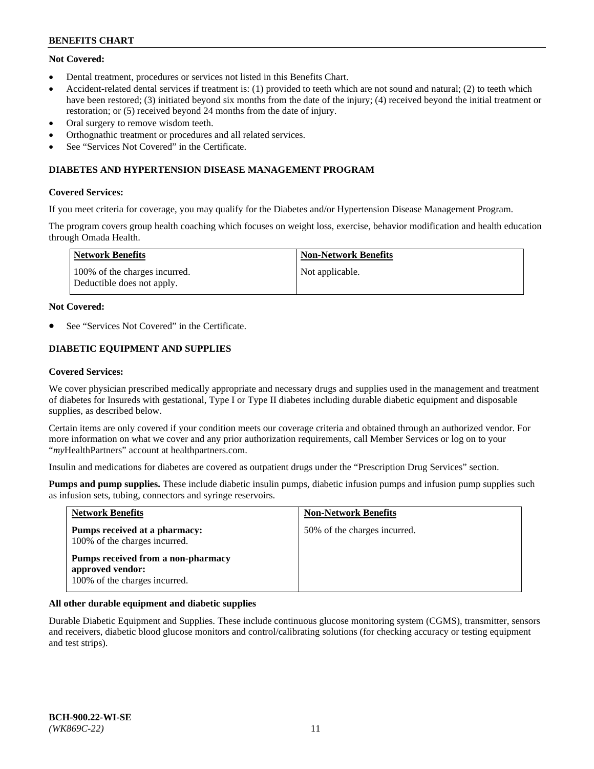# **Not Covered:**

- Dental treatment, procedures or services not listed in this Benefits Chart.
- Accident-related dental services if treatment is: (1) provided to teeth which are not sound and natural; (2) to teeth which have been restored; (3) initiated beyond six months from the date of the injury; (4) received beyond the initial treatment or restoration; or (5) received beyond 24 months from the date of injury.
- Oral surgery to remove wisdom teeth.
- Orthognathic treatment or procedures and all related services.
- See "Services Not Covered" in the Certificate.

### **DIABETES AND HYPERTENSION DISEASE MANAGEMENT PROGRAM**

### **Covered Services:**

If you meet criteria for coverage, you may qualify for the Diabetes and/or Hypertension Disease Management Program.

The program covers group health coaching which focuses on weight loss, exercise, behavior modification and health education through Omada Health.

| <b>Network Benefits</b>                                     | <b>Non-Network Benefits</b> |
|-------------------------------------------------------------|-----------------------------|
| 100% of the charges incurred.<br>Deductible does not apply. | Not applicable.             |

### **Not Covered:**

See "Services Not Covered" in the Certificate.

# **DIABETIC EQUIPMENT AND SUPPLIES**

### **Covered Services:**

We cover physician prescribed medically appropriate and necessary drugs and supplies used in the management and treatment of diabetes for Insureds with gestational, Type I or Type II diabetes including durable diabetic equipment and disposable supplies, as described below.

Certain items are only covered if your condition meets our coverage criteria and obtained through an authorized vendor. For more information on what we cover and any prior authorization requirements, call Member Services or log on to your "*my*HealthPartners" account at [healthpartners.com.](http://www.healthpartners.com/)

Insulin and medications for diabetes are covered as outpatient drugs under the "Prescription Drug Services" section.

**Pumps and pump supplies.** These include diabetic insulin pumps, diabetic infusion pumps and infusion pump supplies such as infusion sets, tubing, connectors and syringe reservoirs.

| <b>Network Benefits</b>                                                                 | <b>Non-Network Benefits</b>  |
|-----------------------------------------------------------------------------------------|------------------------------|
| <b>Pumps received at a pharmacy:</b><br>100% of the charges incurred.                   | 50% of the charges incurred. |
| Pumps received from a non-pharmacy<br>approved vendor:<br>100% of the charges incurred. |                              |

### **All other durable equipment and diabetic supplies**

Durable Diabetic Equipment and Supplies. These include continuous glucose monitoring system (CGMS), transmitter, sensors and receivers, diabetic blood glucose monitors and control/calibrating solutions (for checking accuracy or testing equipment and test strips).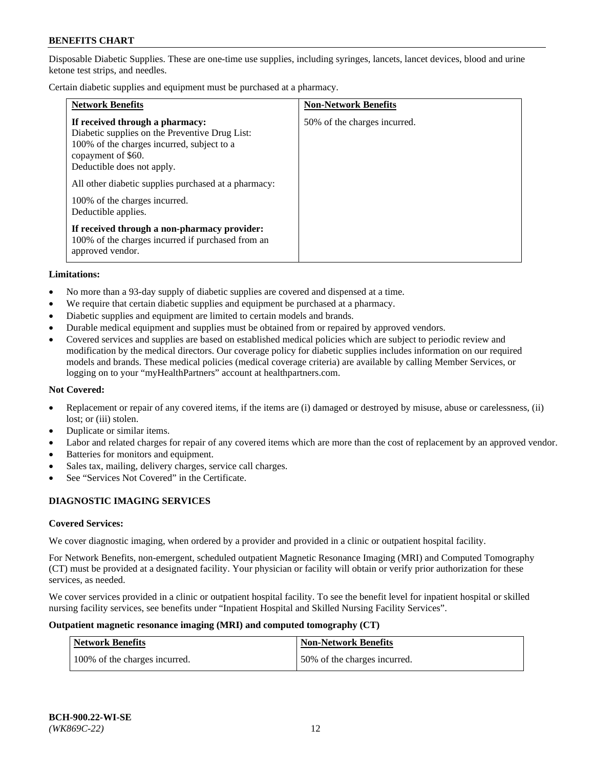Disposable Diabetic Supplies. These are one-time use supplies, including syringes, lancets, lancet devices, blood and urine ketone test strips, and needles.

Certain diabetic supplies and equipment must be purchased at a pharmacy.

| <b>Network Benefits</b>                                                                                                                                                                                                                                                                             | <b>Non-Network Benefits</b>  |
|-----------------------------------------------------------------------------------------------------------------------------------------------------------------------------------------------------------------------------------------------------------------------------------------------------|------------------------------|
| If received through a pharmacy:<br>Diabetic supplies on the Preventive Drug List:<br>100% of the charges incurred, subject to a<br>copayment of \$60.<br>Deductible does not apply.<br>All other diabetic supplies purchased at a pharmacy:<br>100% of the charges incurred.<br>Deductible applies. | 50% of the charges incurred. |
| If received through a non-pharmacy provider:<br>100% of the charges incurred if purchased from an<br>approved vendor.                                                                                                                                                                               |                              |

#### **Limitations:**

- No more than a 93-day supply of diabetic supplies are covered and dispensed at a time.
- We require that certain diabetic supplies and equipment be purchased at a pharmacy.
- Diabetic supplies and equipment are limited to certain models and brands.
- Durable medical equipment and supplies must be obtained from or repaired by approved vendors.
- Covered services and supplies are based on established medical policies which are subject to periodic review and modification by the medical directors. Our coverage policy for diabetic supplies includes information on our required models and brands. These medical policies (medical coverage criteria) are available by calling Member Services, or logging on to your "myHealthPartners" account at [healthpartners.com.](http://www.healthpartners.com/)

### **Not Covered:**

- Replacement or repair of any covered items, if the items are (i) damaged or destroyed by misuse, abuse or carelessness, (ii) lost; or (iii) stolen.
- Duplicate or similar items.
- Labor and related charges for repair of any covered items which are more than the cost of replacement by an approved vendor.
- Batteries for monitors and equipment.
- Sales tax, mailing, delivery charges, service call charges.
- See "Services Not Covered" in the Certificate.

## **DIAGNOSTIC IMAGING SERVICES**

#### **Covered Services:**

We cover diagnostic imaging, when ordered by a provider and provided in a clinic or outpatient hospital facility.

For Network Benefits, non-emergent, scheduled outpatient Magnetic Resonance Imaging (MRI) and Computed Tomography (CT) must be provided at a designated facility. Your physician or facility will obtain or verify prior authorization for these services, as needed.

We cover services provided in a clinic or outpatient hospital facility. To see the benefit level for inpatient hospital or skilled nursing facility services, see benefits under "Inpatient Hospital and Skilled Nursing Facility Services".

#### **Outpatient magnetic resonance imaging (MRI) and computed tomography (CT)**

| <b>Network Benefits</b>       | <b>Non-Network Benefits</b>  |
|-------------------------------|------------------------------|
| 100% of the charges incurred. | 50% of the charges incurred. |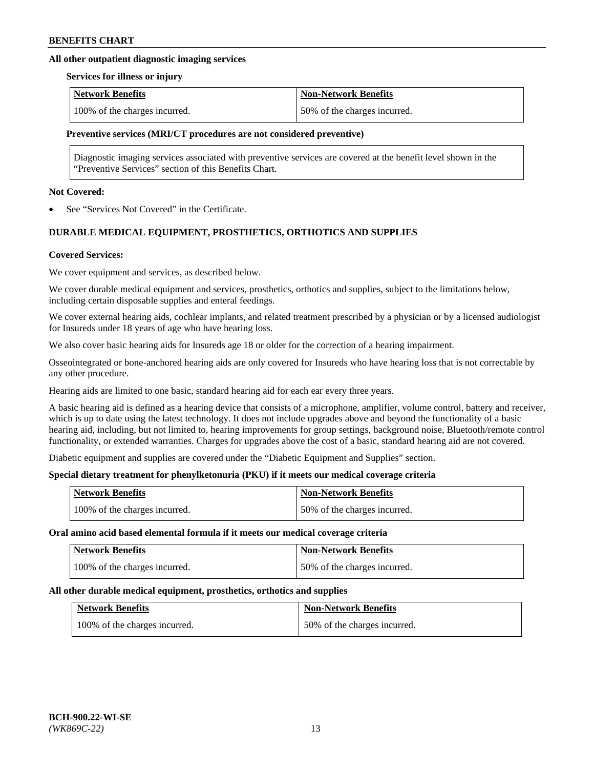### **All other outpatient diagnostic imaging services**

#### **Services for illness or injury**

| <b>Network Benefits</b>       | <b>Non-Network Benefits</b>  |
|-------------------------------|------------------------------|
| 100% of the charges incurred. | 50% of the charges incurred. |

### **Preventive services (MRI/CT procedures are not considered preventive)**

Diagnostic imaging services associated with preventive services are covered at the benefit level shown in the "Preventive Services" section of this Benefits Chart.

#### **Not Covered:**

See "Services Not Covered" in the Certificate.

# **DURABLE MEDICAL EQUIPMENT, PROSTHETICS, ORTHOTICS AND SUPPLIES**

### **Covered Services:**

We cover equipment and services, as described below.

We cover durable medical equipment and services, prosthetics, orthotics and supplies, subject to the limitations below, including certain disposable supplies and enteral feedings.

We cover external hearing aids, cochlear implants, and related treatment prescribed by a physician or by a licensed audiologist for Insureds under 18 years of age who have hearing loss.

We also cover basic hearing aids for Insureds age 18 or older for the correction of a hearing impairment.

Osseointegrated or bone-anchored hearing aids are only covered for Insureds who have hearing loss that is not correctable by any other procedure.

Hearing aids are limited to one basic, standard hearing aid for each ear every three years.

A basic hearing aid is defined as a hearing device that consists of a microphone, amplifier, volume control, battery and receiver, which is up to date using the latest technology. It does not include upgrades above and beyond the functionality of a basic hearing aid, including, but not limited to, hearing improvements for group settings, background noise, Bluetooth/remote control functionality, or extended warranties. Charges for upgrades above the cost of a basic, standard hearing aid are not covered.

Diabetic equipment and supplies are covered under the "Diabetic Equipment and Supplies" section.

### **Special dietary treatment for phenylketonuria (PKU) if it meets our medical coverage criteria**

| <b>Network Benefits</b>       | <b>Non-Network Benefits</b>  |
|-------------------------------|------------------------------|
| 100% of the charges incurred. | 50% of the charges incurred. |

#### **Oral amino acid based elemental formula if it meets our medical coverage criteria**

| <b>Network Benefits</b>       | <b>Non-Network Benefits</b>  |
|-------------------------------|------------------------------|
| 100% of the charges incurred. | 50% of the charges incurred. |

#### **All other durable medical equipment, prosthetics, orthotics and supplies**

| <b>Network Benefits</b>       | <b>Non-Network Benefits</b>  |
|-------------------------------|------------------------------|
| 100% of the charges incurred. | 50% of the charges incurred. |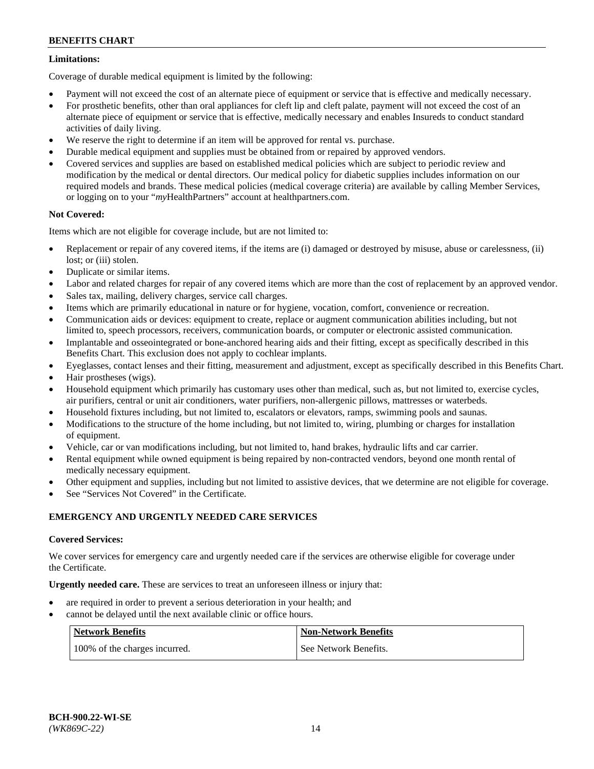# **Limitations:**

Coverage of durable medical equipment is limited by the following:

- Payment will not exceed the cost of an alternate piece of equipment or service that is effective and medically necessary.
- For prosthetic benefits, other than oral appliances for cleft lip and cleft palate, payment will not exceed the cost of an alternate piece of equipment or service that is effective, medically necessary and enables Insureds to conduct standard activities of daily living.
- We reserve the right to determine if an item will be approved for rental vs. purchase.
- Durable medical equipment and supplies must be obtained from or repaired by approved vendors.
- Covered services and supplies are based on established medical policies which are subject to periodic review and modification by the medical or dental directors. Our medical policy for diabetic supplies includes information on our required models and brands. These medical policies (medical coverage criteria) are available by calling Member Services, or logging on to your "*my*HealthPartners" account a[t healthpartners.com.](http://www.healthpartners.com/)

# **Not Covered:**

Items which are not eligible for coverage include, but are not limited to:

- Replacement or repair of any covered items, if the items are (i) damaged or destroyed by misuse, abuse or carelessness, (ii) lost; or (iii) stolen.
- Duplicate or similar items.
- Labor and related charges for repair of any covered items which are more than the cost of replacement by an approved vendor.
- Sales tax, mailing, delivery charges, service call charges.
- Items which are primarily educational in nature or for hygiene, vocation, comfort, convenience or recreation.
- Communication aids or devices: equipment to create, replace or augment communication abilities including, but not limited to, speech processors, receivers, communication boards, or computer or electronic assisted communication.
- Implantable and osseointegrated or bone-anchored hearing aids and their fitting, except as specifically described in this Benefits Chart. This exclusion does not apply to cochlear implants.
- Eyeglasses, contact lenses and their fitting, measurement and adjustment, except as specifically described in this Benefits Chart.
- Hair prostheses (wigs).
- Household equipment which primarily has customary uses other than medical, such as, but not limited to, exercise cycles, air purifiers, central or unit air conditioners, water purifiers, non-allergenic pillows, mattresses or waterbeds.
- Household fixtures including, but not limited to, escalators or elevators, ramps, swimming pools and saunas.
- Modifications to the structure of the home including, but not limited to, wiring, plumbing or charges for installation of equipment.
- Vehicle, car or van modifications including, but not limited to, hand brakes, hydraulic lifts and car carrier.
- Rental equipment while owned equipment is being repaired by non-contracted vendors, beyond one month rental of medically necessary equipment.
- Other equipment and supplies, including but not limited to assistive devices, that we determine are not eligible for coverage.
- See "Services Not Covered" in the Certificate.

### **EMERGENCY AND URGENTLY NEEDED CARE SERVICES**

### **Covered Services:**

We cover services for emergency care and urgently needed care if the services are otherwise eligible for coverage under the Certificate.

**Urgently needed care.** These are services to treat an unforeseen illness or injury that:

- are required in order to prevent a serious deterioration in your health; and
- cannot be delayed until the next available clinic or office hours.

| <b>Network Benefits</b>       | <b>Non-Network Benefits</b> |
|-------------------------------|-----------------------------|
| 100% of the charges incurred. | See Network Benefits.       |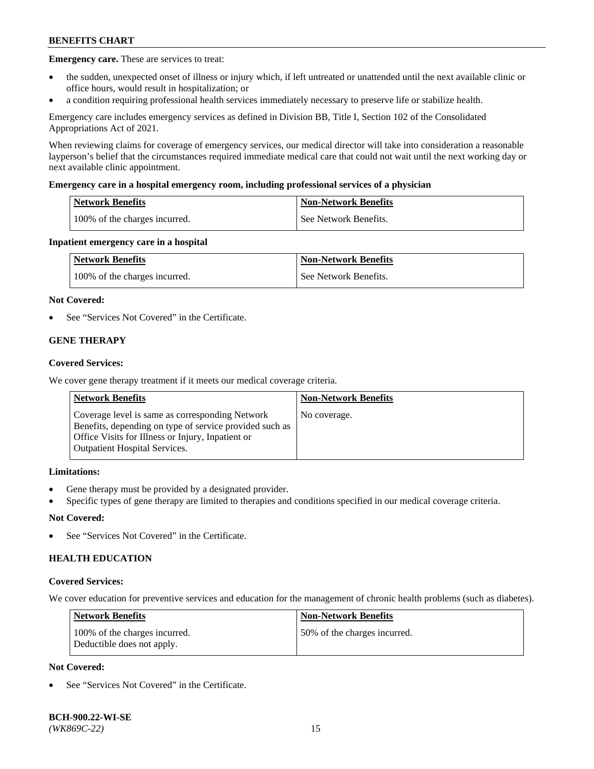**Emergency care.** These are services to treat:

- the sudden, unexpected onset of illness or injury which, if left untreated or unattended until the next available clinic or office hours, would result in hospitalization; or
- a condition requiring professional health services immediately necessary to preserve life or stabilize health.

Emergency care includes emergency services as defined in Division BB, Title I, Section 102 of the Consolidated Appropriations Act of 2021.

When reviewing claims for coverage of emergency services, our medical director will take into consideration a reasonable layperson's belief that the circumstances required immediate medical care that could not wait until the next working day or next available clinic appointment.

### **Emergency care in a hospital emergency room, including professional services of a physician**

| Network Benefits              | <b>Non-Network Benefits</b> |
|-------------------------------|-----------------------------|
| 100% of the charges incurred. | See Network Benefits.       |

### **Inpatient emergency care in a hospital**

| <b>Network Benefits</b>       | <b>Non-Network Benefits</b> |
|-------------------------------|-----------------------------|
| 100% of the charges incurred. | See Network Benefits.       |

### **Not Covered:**

See "Services Not Covered" in the Certificate.

## **GENE THERAPY**

### **Covered Services:**

We cover gene therapy treatment if it meets our medical coverage criteria.

| <b>Network Benefits</b>                                                                                                                                                                                 | <b>Non-Network Benefits</b> |
|---------------------------------------------------------------------------------------------------------------------------------------------------------------------------------------------------------|-----------------------------|
| Coverage level is same as corresponding Network<br>Benefits, depending on type of service provided such as<br>Office Visits for Illness or Injury, Inpatient or<br><b>Outpatient Hospital Services.</b> | No coverage.                |

### **Limitations:**

- Gene therapy must be provided by a designated provider.
- Specific types of gene therapy are limited to therapies and conditions specified in our medical coverage criteria.

### **Not Covered:**

See "Services Not Covered" in the Certificate.

### **HEALTH EDUCATION**

#### **Covered Services:**

We cover education for preventive services and education for the management of chronic health problems (such as diabetes).

| <b>Network Benefits</b>                                     | <b>Non-Network Benefits</b>  |
|-------------------------------------------------------------|------------------------------|
| 100% of the charges incurred.<br>Deductible does not apply. | 50% of the charges incurred. |

# **Not Covered:**

See "Services Not Covered" in the Certificate.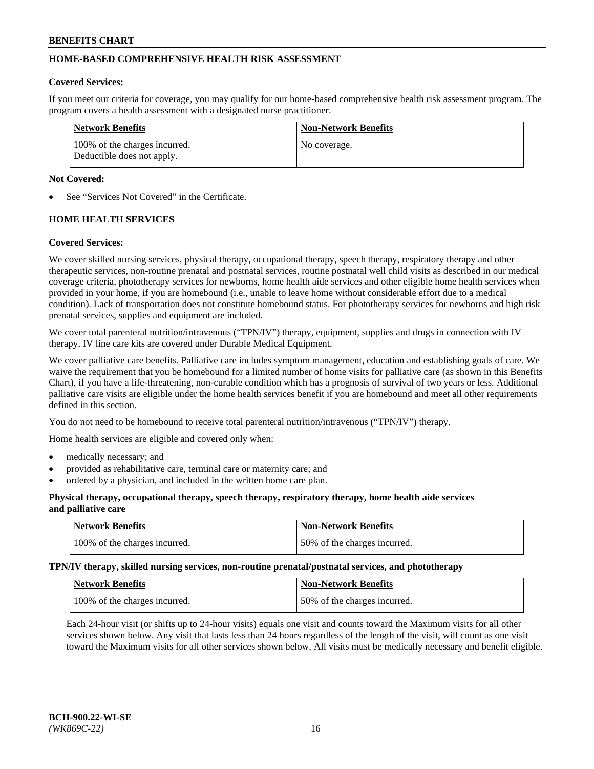# **HOME-BASED COMPREHENSIVE HEALTH RISK ASSESSMENT**

### **Covered Services:**

If you meet our criteria for coverage, you may qualify for our home-based comprehensive health risk assessment program. The program covers a health assessment with a designated nurse practitioner.

| Network Benefits                                            | <b>Non-Network Benefits</b> |
|-------------------------------------------------------------|-----------------------------|
| 100% of the charges incurred.<br>Deductible does not apply. | No coverage.                |

### **Not Covered:**

See "Services Not Covered" in the Certificate.

# **HOME HEALTH SERVICES**

### **Covered Services:**

We cover skilled nursing services, physical therapy, occupational therapy, speech therapy, respiratory therapy and other therapeutic services, non-routine prenatal and postnatal services, routine postnatal well child visits as described in our medical coverage criteria, phototherapy services for newborns, home health aide services and other eligible home health services when provided in your home, if you are homebound (i.e., unable to leave home without considerable effort due to a medical condition). Lack of transportation does not constitute homebound status. For phototherapy services for newborns and high risk prenatal services, supplies and equipment are included.

We cover total parenteral nutrition/intravenous ("TPN/IV") therapy, equipment, supplies and drugs in connection with IV therapy. IV line care kits are covered under Durable Medical Equipment.

We cover palliative care benefits. Palliative care includes symptom management, education and establishing goals of care. We waive the requirement that you be homebound for a limited number of home visits for palliative care (as shown in this Benefits Chart), if you have a life-threatening, non-curable condition which has a prognosis of survival of two years or less. Additional palliative care visits are eligible under the home health services benefit if you are homebound and meet all other requirements defined in this section.

You do not need to be homebound to receive total parenteral nutrition/intravenous ("TPN/IV") therapy.

Home health services are eligible and covered only when:

- medically necessary; and
- provided as rehabilitative care, terminal care or maternity care; and
- ordered by a physician, and included in the written home care plan.

### **Physical therapy, occupational therapy, speech therapy, respiratory therapy, home health aide services and palliative care**

| Network Benefits              | <b>Non-Network Benefits</b>  |
|-------------------------------|------------------------------|
| 100% of the charges incurred. | 50% of the charges incurred. |

**TPN/IV therapy, skilled nursing services, non-routine prenatal/postnatal services, and phototherapy**

| <b>Network Benefits</b>       | Non-Network Benefits         |
|-------------------------------|------------------------------|
| 100% of the charges incurred. | 50% of the charges incurred. |

Each 24-hour visit (or shifts up to 24-hour visits) equals one visit and counts toward the Maximum visits for all other services shown below. Any visit that lasts less than 24 hours regardless of the length of the visit, will count as one visit toward the Maximum visits for all other services shown below. All visits must be medically necessary and benefit eligible.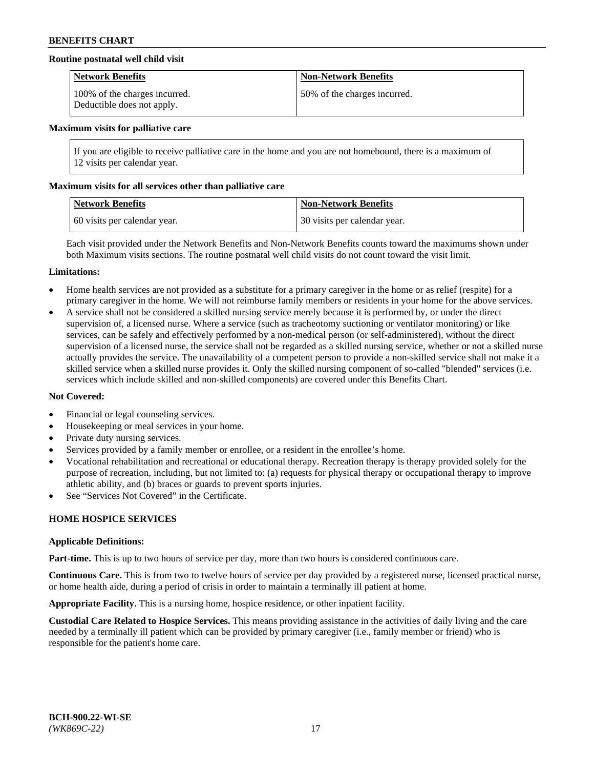### **Routine postnatal well child visit**

| <b>Network Benefits</b>                                     | <b>Non-Network Benefits</b>  |
|-------------------------------------------------------------|------------------------------|
| 100% of the charges incurred.<br>Deductible does not apply. | 50% of the charges incurred. |

#### **Maximum visits for palliative care**

If you are eligible to receive palliative care in the home and you are not homebound, there is a maximum of 12 visits per calendar year.

### **Maximum visits for all services other than palliative care**

| Network Benefits             | <b>Non-Network Benefits</b>  |
|------------------------------|------------------------------|
| 60 visits per calendar year. | 30 visits per calendar year. |

Each visit provided under the Network Benefits and Non-Network Benefits counts toward the maximums shown under both Maximum visits sections. The routine postnatal well child visits do not count toward the visit limit.

#### **Limitations:**

- Home health services are not provided as a substitute for a primary caregiver in the home or as relief (respite) for a primary caregiver in the home. We will not reimburse family members or residents in your home for the above services.
- A service shall not be considered a skilled nursing service merely because it is performed by, or under the direct supervision of, a licensed nurse. Where a service (such as tracheotomy suctioning or ventilator monitoring) or like services, can be safely and effectively performed by a non-medical person (or self-administered), without the direct supervision of a licensed nurse, the service shall not be regarded as a skilled nursing service, whether or not a skilled nurse actually provides the service. The unavailability of a competent person to provide a non-skilled service shall not make it a skilled service when a skilled nurse provides it. Only the skilled nursing component of so-called "blended" services (i.e. services which include skilled and non-skilled components) are covered under this Benefits Chart.

### **Not Covered:**

- Financial or legal counseling services.
- Housekeeping or meal services in your home.
- Private duty nursing services.
- Services provided by a family member or enrollee, or a resident in the enrollee's home.
- Vocational rehabilitation and recreational or educational therapy. Recreation therapy is therapy provided solely for the purpose of recreation, including, but not limited to: (a) requests for physical therapy or occupational therapy to improve athletic ability, and (b) braces or guards to prevent sports injuries.
- See "Services Not Covered" in the Certificate.

# **HOME HOSPICE SERVICES**

#### **Applicable Definitions:**

**Part-time.** This is up to two hours of service per day, more than two hours is considered continuous care.

**Continuous Care.** This is from two to twelve hours of service per day provided by a registered nurse, licensed practical nurse, or home health aide, during a period of crisis in order to maintain a terminally ill patient at home.

**Appropriate Facility.** This is a nursing home, hospice residence, or other inpatient facility.

**Custodial Care Related to Hospice Services.** This means providing assistance in the activities of daily living and the care needed by a terminally ill patient which can be provided by primary caregiver (i.e., family member or friend) who is responsible for the patient's home care.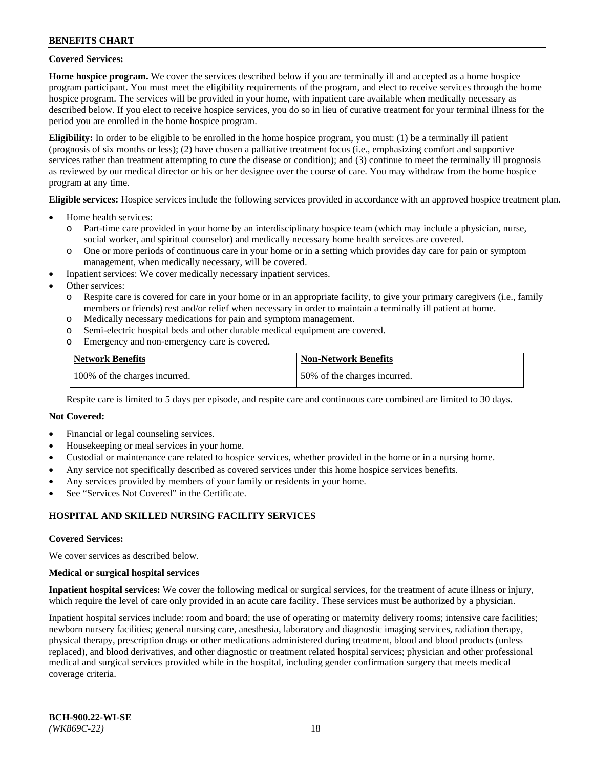### **Covered Services:**

**Home hospice program.** We cover the services described below if you are terminally ill and accepted as a home hospice program participant. You must meet the eligibility requirements of the program, and elect to receive services through the home hospice program. The services will be provided in your home, with inpatient care available when medically necessary as described below. If you elect to receive hospice services, you do so in lieu of curative treatment for your terminal illness for the period you are enrolled in the home hospice program.

**Eligibility:** In order to be eligible to be enrolled in the home hospice program, you must: (1) be a terminally ill patient (prognosis of six months or less); (2) have chosen a palliative treatment focus (i.e., emphasizing comfort and supportive services rather than treatment attempting to cure the disease or condition); and (3) continue to meet the terminally ill prognosis as reviewed by our medical director or his or her designee over the course of care. You may withdraw from the home hospice program at any time.

**Eligible services:** Hospice services include the following services provided in accordance with an approved hospice treatment plan.

- Home health services:
	- o Part-time care provided in your home by an interdisciplinary hospice team (which may include a physician, nurse, social worker, and spiritual counselor) and medically necessary home health services are covered.
	- o One or more periods of continuous care in your home or in a setting which provides day care for pain or symptom management, when medically necessary, will be covered.
- Inpatient services: We cover medically necessary inpatient services.
- Other services:
	- o Respite care is covered for care in your home or in an appropriate facility, to give your primary caregivers (i.e., family members or friends) rest and/or relief when necessary in order to maintain a terminally ill patient at home.
	- o Medically necessary medications for pain and symptom management.
	- o Semi-electric hospital beds and other durable medical equipment are covered.
	- Emergency and non-emergency care is covered.

| Network Benefits              | <b>Non-Network Benefits</b>  |
|-------------------------------|------------------------------|
| 100% of the charges incurred. | 50% of the charges incurred. |

Respite care is limited to 5 days per episode, and respite care and continuous care combined are limited to 30 days.

# **Not Covered:**

- Financial or legal counseling services.
- Housekeeping or meal services in your home.
- Custodial or maintenance care related to hospice services, whether provided in the home or in a nursing home.
- Any service not specifically described as covered services under this home hospice services benefits.
- Any services provided by members of your family or residents in your home.
- See "Services Not Covered" in the Certificate.

### **HOSPITAL AND SKILLED NURSING FACILITY SERVICES**

#### **Covered Services:**

We cover services as described below.

#### **Medical or surgical hospital services**

**Inpatient hospital services:** We cover the following medical or surgical services, for the treatment of acute illness or injury, which require the level of care only provided in an acute care facility. These services must be authorized by a physician.

Inpatient hospital services include: room and board; the use of operating or maternity delivery rooms; intensive care facilities; newborn nursery facilities; general nursing care, anesthesia, laboratory and diagnostic imaging services, radiation therapy, physical therapy, prescription drugs or other medications administered during treatment, blood and blood products (unless replaced), and blood derivatives, and other diagnostic or treatment related hospital services; physician and other professional medical and surgical services provided while in the hospital, including gender confirmation surgery that meets medical coverage criteria.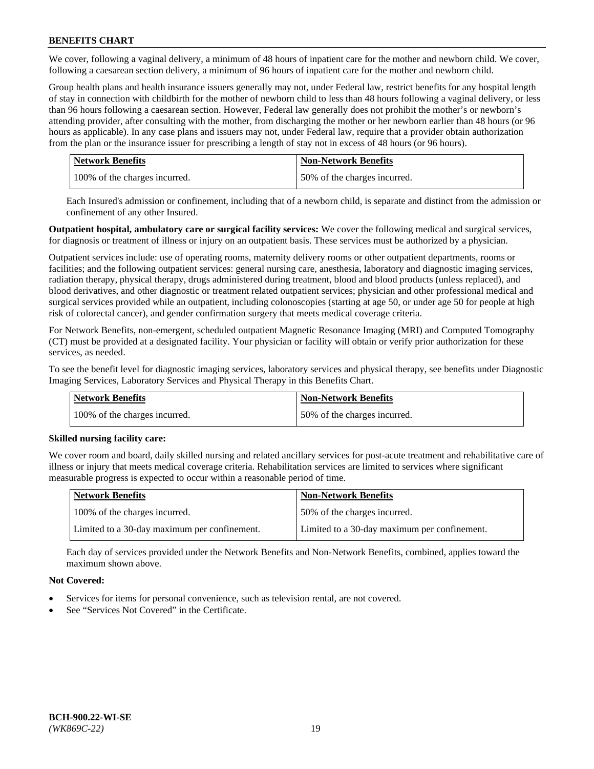We cover, following a vaginal delivery, a minimum of 48 hours of inpatient care for the mother and newborn child. We cover, following a caesarean section delivery, a minimum of 96 hours of inpatient care for the mother and newborn child.

Group health plans and health insurance issuers generally may not, under Federal law, restrict benefits for any hospital length of stay in connection with childbirth for the mother of newborn child to less than 48 hours following a vaginal delivery, or less than 96 hours following a caesarean section. However, Federal law generally does not prohibit the mother's or newborn's attending provider, after consulting with the mother, from discharging the mother or her newborn earlier than 48 hours (or 96 hours as applicable). In any case plans and issuers may not, under Federal law, require that a provider obtain authorization from the plan or the insurance issuer for prescribing a length of stay not in excess of 48 hours (or 96 hours).

| <b>Network Benefits</b>       | <b>Non-Network Benefits</b>  |
|-------------------------------|------------------------------|
| 100% of the charges incurred. | 50% of the charges incurred. |

Each Insured's admission or confinement, including that of a newborn child, is separate and distinct from the admission or confinement of any other Insured.

**Outpatient hospital, ambulatory care or surgical facility services:** We cover the following medical and surgical services, for diagnosis or treatment of illness or injury on an outpatient basis. These services must be authorized by a physician.

Outpatient services include: use of operating rooms, maternity delivery rooms or other outpatient departments, rooms or facilities; and the following outpatient services: general nursing care, anesthesia, laboratory and diagnostic imaging services, radiation therapy, physical therapy, drugs administered during treatment, blood and blood products (unless replaced), and blood derivatives, and other diagnostic or treatment related outpatient services; physician and other professional medical and surgical services provided while an outpatient, including colonoscopies (starting at age 50, or under age 50 for people at high risk of colorectal cancer), and gender confirmation surgery that meets medical coverage criteria.

For Network Benefits, non-emergent, scheduled outpatient Magnetic Resonance Imaging (MRI) and Computed Tomography (CT) must be provided at a designated facility. Your physician or facility will obtain or verify prior authorization for these services, as needed.

To see the benefit level for diagnostic imaging services, laboratory services and physical therapy, see benefits under Diagnostic Imaging Services, Laboratory Services and Physical Therapy in this Benefits Chart.

| <b>Network Benefits</b>       | <b>Non-Network Benefits</b>  |
|-------------------------------|------------------------------|
| 100% of the charges incurred. | 50% of the charges incurred. |

### **Skilled nursing facility care:**

We cover room and board, daily skilled nursing and related ancillary services for post-acute treatment and rehabilitative care of illness or injury that meets medical coverage criteria. Rehabilitation services are limited to services where significant measurable progress is expected to occur within a reasonable period of time.

| Network Benefits                             | <b>Non-Network Benefits</b>                  |
|----------------------------------------------|----------------------------------------------|
| 100% of the charges incurred.                | 50% of the charges incurred.                 |
| Limited to a 30-day maximum per confinement. | Limited to a 30-day maximum per confinement. |

Each day of services provided under the Network Benefits and Non-Network Benefits, combined, applies toward the maximum shown above.

### **Not Covered:**

- Services for items for personal convenience, such as television rental, are not covered.
- See "Services Not Covered" in the Certificate.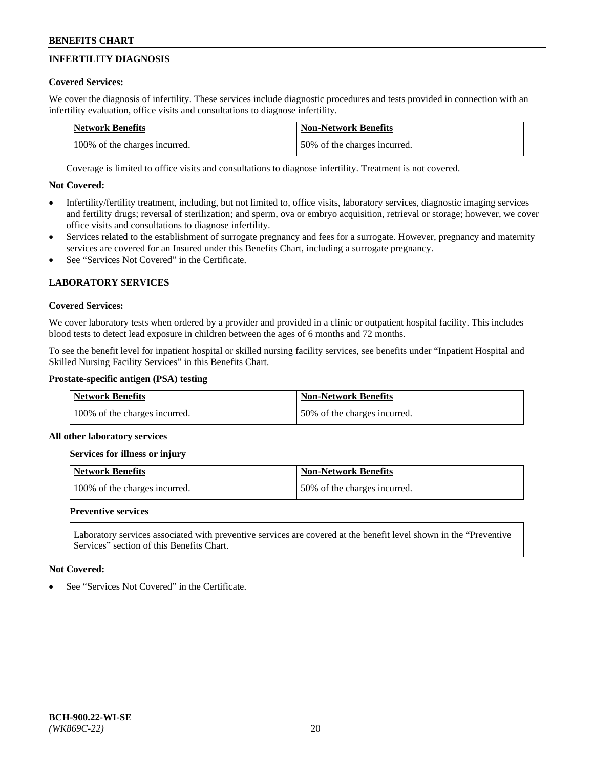# **INFERTILITY DIAGNOSIS**

# **Covered Services:**

We cover the diagnosis of infertility. These services include diagnostic procedures and tests provided in connection with an infertility evaluation, office visits and consultations to diagnose infertility.

| <b>Network Benefits</b>       | <b>Non-Network Benefits</b>  |
|-------------------------------|------------------------------|
| 100% of the charges incurred. | 50% of the charges incurred. |

Coverage is limited to office visits and consultations to diagnose infertility. Treatment is not covered.

# **Not Covered:**

- Infertility/fertility treatment, including, but not limited to, office visits, laboratory services, diagnostic imaging services and fertility drugs; reversal of sterilization; and sperm, ova or embryo acquisition, retrieval or storage; however, we cover office visits and consultations to diagnose infertility.
- Services related to the establishment of surrogate pregnancy and fees for a surrogate. However, pregnancy and maternity services are covered for an Insured under this Benefits Chart, including a surrogate pregnancy.
- See "Services Not Covered" in the Certificate.

# **LABORATORY SERVICES**

### **Covered Services:**

We cover laboratory tests when ordered by a provider and provided in a clinic or outpatient hospital facility. This includes blood tests to detect lead exposure in children between the ages of 6 months and 72 months.

To see the benefit level for inpatient hospital or skilled nursing facility services, see benefits under "Inpatient Hospital and Skilled Nursing Facility Services" in this Benefits Chart.

### **Prostate-specific antigen (PSA) testing**

| <b>Network Benefits</b>       | <b>Non-Network Benefits</b>  |
|-------------------------------|------------------------------|
| 100% of the charges incurred. | 50% of the charges incurred. |

### **All other laboratory services**

**Services for illness or injury**

| Network Benefits              | Non-Network Benefits         |
|-------------------------------|------------------------------|
| 100% of the charges incurred. | 50% of the charges incurred. |

### **Preventive services**

Laboratory services associated with preventive services are covered at the benefit level shown in the "Preventive Services" section of this Benefits Chart.

### **Not Covered:**

See "Services Not Covered" in the Certificate.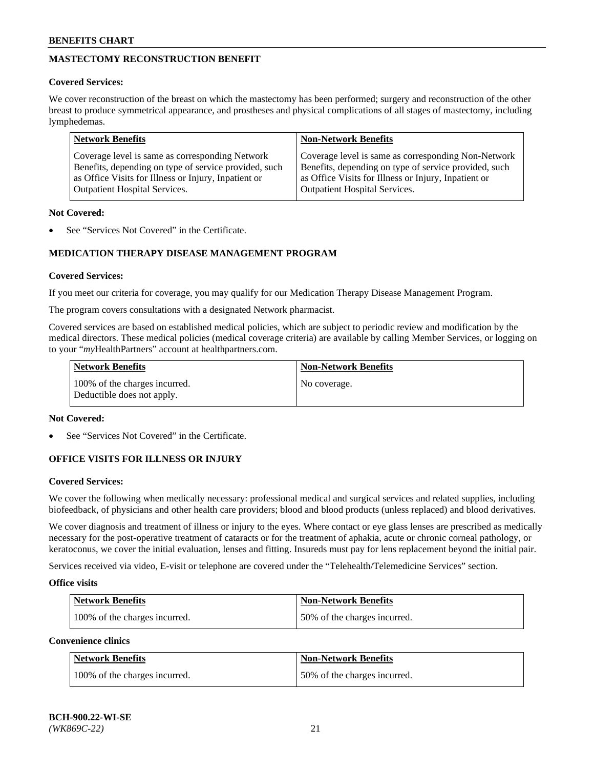# **MASTECTOMY RECONSTRUCTION BENEFIT**

### **Covered Services:**

We cover reconstruction of the breast on which the mastectomy has been performed; surgery and reconstruction of the other breast to produce symmetrical appearance, and prostheses and physical complications of all stages of mastectomy, including lymphedemas.

| <b>Network Benefits</b>                               | <b>Non-Network Benefits</b>                           |
|-------------------------------------------------------|-------------------------------------------------------|
| Coverage level is same as corresponding Network       | Coverage level is same as corresponding Non-Network   |
| Benefits, depending on type of service provided, such | Benefits, depending on type of service provided, such |
| as Office Visits for Illness or Injury, Inpatient or  | as Office Visits for Illness or Injury, Inpatient or  |
| <b>Outpatient Hospital Services.</b>                  | <b>Outpatient Hospital Services.</b>                  |

### **Not Covered:**

See "Services Not Covered" in the Certificate.

# **MEDICATION THERAPY DISEASE MANAGEMENT PROGRAM**

### **Covered Services:**

If you meet our criteria for coverage, you may qualify for our Medication Therapy Disease Management Program.

The program covers consultations with a designated Network pharmacist.

Covered services are based on established medical policies, which are subject to periodic review and modification by the medical directors. These medical policies (medical coverage criteria) are available by calling Member Services, or logging on to your "*my*HealthPartners" account at [healthpartners.com.](http://www.healthpartners.com/)

| Network Benefits                                            | <b>Non-Network Benefits</b> |
|-------------------------------------------------------------|-----------------------------|
| 100% of the charges incurred.<br>Deductible does not apply. | No coverage.                |

### **Not Covered:**

See "Services Not Covered" in the Certificate.

### **OFFICE VISITS FOR ILLNESS OR INJURY**

#### **Covered Services:**

We cover the following when medically necessary: professional medical and surgical services and related supplies, including biofeedback, of physicians and other health care providers; blood and blood products (unless replaced) and blood derivatives.

We cover diagnosis and treatment of illness or injury to the eyes. Where contact or eye glass lenses are prescribed as medically necessary for the post-operative treatment of cataracts or for the treatment of aphakia, acute or chronic corneal pathology, or keratoconus, we cover the initial evaluation, lenses and fitting. Insureds must pay for lens replacement beyond the initial pair.

Services received via video, E-visit or telephone are covered under the "Telehealth/Telemedicine Services" section.

#### **Office visits**

| <b>Network Benefits</b>       | <b>Non-Network Benefits</b>  |
|-------------------------------|------------------------------|
| 100% of the charges incurred. | 50% of the charges incurred. |

**Convenience clinics**

| <b>Network Benefits</b>       | <b>Non-Network Benefits</b>   |
|-------------------------------|-------------------------------|
| 100% of the charges incurred. | 150% of the charges incurred. |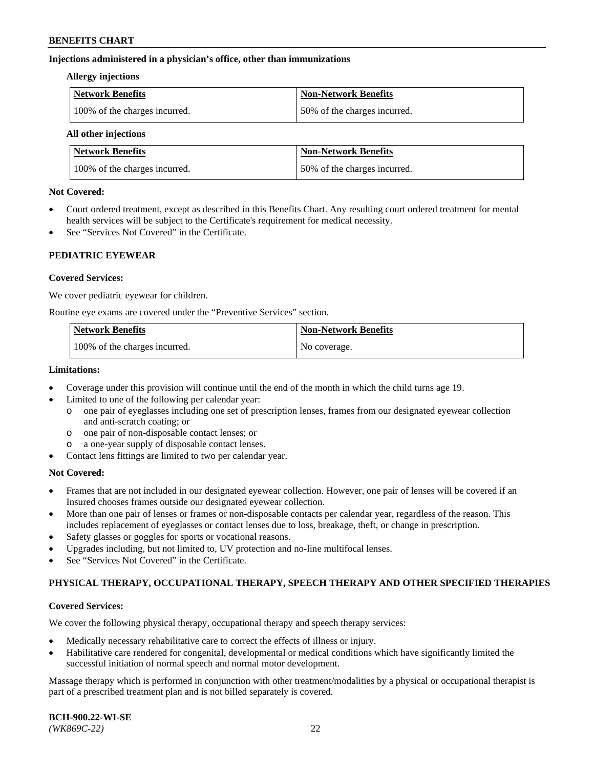### **Injections administered in a physician's office, other than immunizations**

#### **Allergy injections**

| Network Benefits              | Non-Network Benefits         |
|-------------------------------|------------------------------|
| 100% of the charges incurred. | 50% of the charges incurred. |

#### **All other injections**

| <b>Network Benefits</b>       | <b>Non-Network Benefits</b>  |  |
|-------------------------------|------------------------------|--|
| 100% of the charges incurred. | 50% of the charges incurred. |  |

### **Not Covered:**

- Court ordered treatment, except as described in this Benefits Chart. Any resulting court ordered treatment for mental health services will be subject to the Certificate's requirement for medical necessity.
- See "Services Not Covered" in the Certificate.

### **PEDIATRIC EYEWEAR**

### **Covered Services:**

We cover pediatric eyewear for children.

Routine eye exams are covered under the "Preventive Services" section.

| <b>Network Benefits</b>       | <b>Non-Network Benefits</b> |
|-------------------------------|-----------------------------|
| 100% of the charges incurred. | No coverage.                |

### **Limitations:**

- Coverage under this provision will continue until the end of the month in which the child turns age 19.
- Limited to one of the following per calendar year:
	- o one pair of eyeglasses including one set of prescription lenses, frames from our designated eyewear collection and anti-scratch coating; or
	- o one pair of non-disposable contact lenses; or
	- o a one-year supply of disposable contact lenses.
- Contact lens fittings are limited to two per calendar year.

### **Not Covered:**

- Frames that are not included in our designated eyewear collection. However, one pair of lenses will be covered if an Insured chooses frames outside our designated eyewear collection.
- More than one pair of lenses or frames or non-disposable contacts per calendar year, regardless of the reason. This includes replacement of eyeglasses or contact lenses due to loss, breakage, theft, or change in prescription.
- Safety glasses or goggles for sports or vocational reasons.
- Upgrades including, but not limited to, UV protection and no-line multifocal lenses.
- See "Services Not Covered" in the Certificate.

### **PHYSICAL THERAPY, OCCUPATIONAL THERAPY, SPEECH THERAPY AND OTHER SPECIFIED THERAPIES**

# **Covered Services:**

We cover the following physical therapy, occupational therapy and speech therapy services:

- Medically necessary rehabilitative care to correct the effects of illness or injury.
- Habilitative care rendered for congenital, developmental or medical conditions which have significantly limited the successful initiation of normal speech and normal motor development.

Massage therapy which is performed in conjunction with other treatment/modalities by a physical or occupational therapist is part of a prescribed treatment plan and is not billed separately is covered.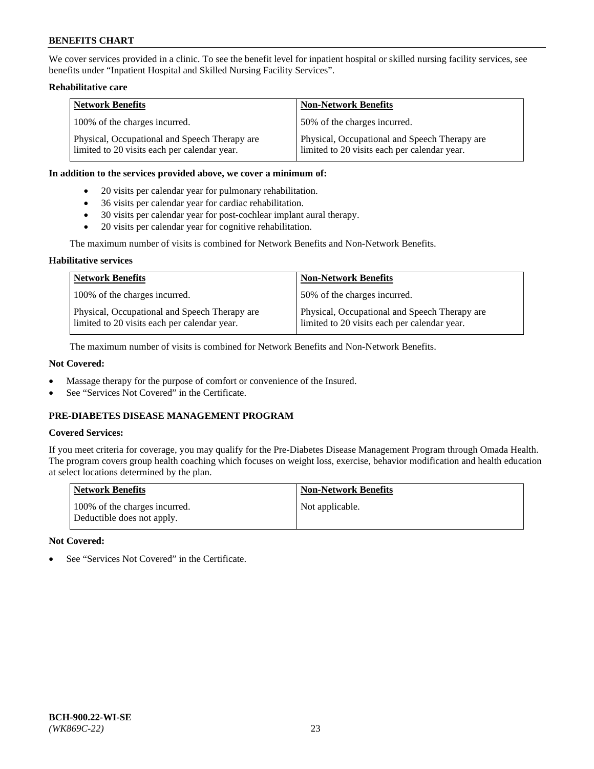We cover services provided in a clinic. To see the benefit level for inpatient hospital or skilled nursing facility services, see benefits under "Inpatient Hospital and Skilled Nursing Facility Services".

### **Rehabilitative care**

| <b>Network Benefits</b>                                                                       | <b>Non-Network Benefits</b>                                                                   |
|-----------------------------------------------------------------------------------------------|-----------------------------------------------------------------------------------------------|
| 100% of the charges incurred.                                                                 | 50% of the charges incurred.                                                                  |
| Physical, Occupational and Speech Therapy are<br>limited to 20 visits each per calendar year. | Physical, Occupational and Speech Therapy are<br>limited to 20 visits each per calendar year. |

### **In addition to the services provided above, we cover a minimum of:**

- 20 visits per calendar year for pulmonary rehabilitation.
- 36 visits per calendar year for cardiac rehabilitation.
- 30 visits per calendar year for post-cochlear implant aural therapy.
- 20 visits per calendar year for cognitive rehabilitation.

The maximum number of visits is combined for Network Benefits and Non-Network Benefits.

### **Habilitative services**

| <b>Network Benefits</b>                                                                       | <b>Non-Network Benefits</b>                                                                   |
|-----------------------------------------------------------------------------------------------|-----------------------------------------------------------------------------------------------|
| 100% of the charges incurred.                                                                 | 50% of the charges incurred.                                                                  |
| Physical, Occupational and Speech Therapy are<br>limited to 20 visits each per calendar year. | Physical, Occupational and Speech Therapy are<br>limited to 20 visits each per calendar year. |

The maximum number of visits is combined for Network Benefits and Non-Network Benefits.

### **Not Covered:**

- Massage therapy for the purpose of comfort or convenience of the Insured.
- See "Services Not Covered" in the Certificate.

# **PRE-DIABETES DISEASE MANAGEMENT PROGRAM**

### **Covered Services:**

If you meet criteria for coverage, you may qualify for the Pre-Diabetes Disease Management Program through Omada Health. The program covers group health coaching which focuses on weight loss, exercise, behavior modification and health education at select locations determined by the plan.

| <b>Network Benefits</b>                                     | <b>Non-Network Benefits</b> |
|-------------------------------------------------------------|-----------------------------|
| 100% of the charges incurred.<br>Deductible does not apply. | Not applicable.             |

### **Not Covered:**

See "Services Not Covered" in the Certificate.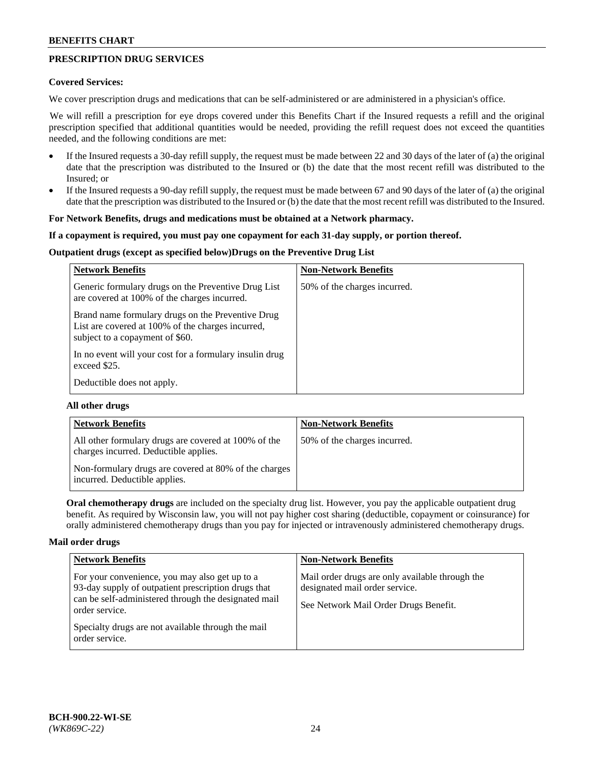# **PRESCRIPTION DRUG SERVICES**

### **Covered Services:**

We cover prescription drugs and medications that can be self-administered or are administered in a physician's office.

We will refill a prescription for eye drops covered under this Benefits Chart if the Insured requests a refill and the original prescription specified that additional quantities would be needed, providing the refill request does not exceed the quantities needed, and the following conditions are met:

- If the Insured requests a 30-day refill supply, the request must be made between 22 and 30 days of the later of (a) the original date that the prescription was distributed to the Insured or (b) the date that the most recent refill was distributed to the Insured; or
- If the Insured requests a 90-day refill supply, the request must be made between 67 and 90 days of the later of (a) the original date that the prescription was distributed to the Insured or (b) the date that the most recent refill was distributed to the Insured.

### **For Network Benefits, drugs and medications must be obtained at a Network pharmacy.**

### **If a copayment is required, you must pay one copayment for each 31-day supply, or portion thereof.**

### **Outpatient drugs (except as specified below)Drugs on the Preventive Drug List**

| <b>Network Benefits</b>                                                                                                                   | <b>Non-Network Benefits</b>  |
|-------------------------------------------------------------------------------------------------------------------------------------------|------------------------------|
| Generic formulary drugs on the Preventive Drug List<br>are covered at 100% of the charges incurred.                                       | 50% of the charges incurred. |
| Brand name formulary drugs on the Preventive Drug<br>List are covered at 100% of the charges incurred,<br>subject to a copayment of \$60. |                              |
| In no event will your cost for a formulary insulin drug<br>exceed \$25.                                                                   |                              |
| Deductible does not apply.                                                                                                                |                              |

### **All other drugs**

| <b>Network Benefits</b>                                                                       | <b>Non-Network Benefits</b>  |
|-----------------------------------------------------------------------------------------------|------------------------------|
| All other formulary drugs are covered at 100% of the<br>charges incurred. Deductible applies. | 50% of the charges incurred. |
| Non-formulary drugs are covered at 80% of the charges<br>incurred. Deductible applies.        |                              |

**Oral chemotherapy drugs** are included on the specialty drug list. However, you pay the applicable outpatient drug benefit. As required by Wisconsin law, you will not pay higher cost sharing (deductible, copayment or coinsurance) for orally administered chemotherapy drugs than you pay for injected or intravenously administered chemotherapy drugs.

#### **Mail order drugs**

| <b>Network Benefits</b>                                                                                                                                                                                                                                 | <b>Non-Network Benefits</b>                                                                                                |
|---------------------------------------------------------------------------------------------------------------------------------------------------------------------------------------------------------------------------------------------------------|----------------------------------------------------------------------------------------------------------------------------|
| For your convenience, you may also get up to a<br>93-day supply of outpatient prescription drugs that<br>can be self-administered through the designated mail<br>order service.<br>Specialty drugs are not available through the mail<br>order service. | Mail order drugs are only available through the<br>designated mail order service.<br>See Network Mail Order Drugs Benefit. |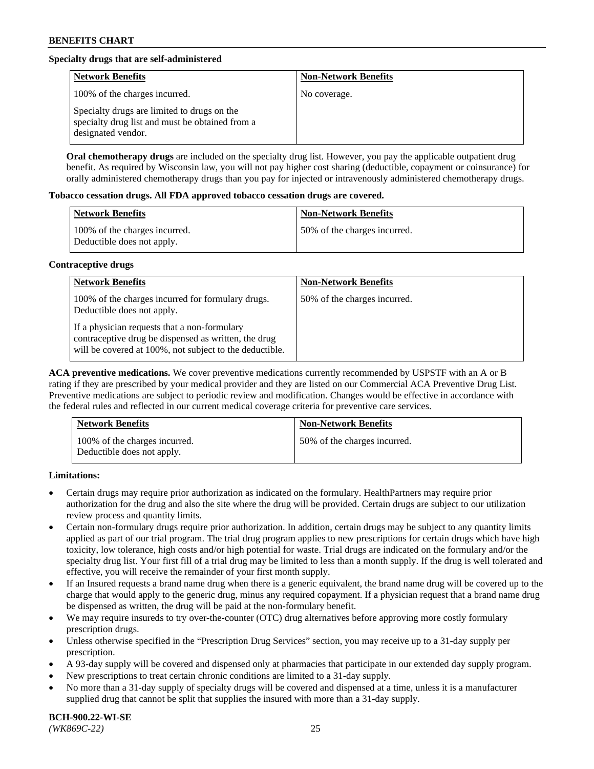# **Specialty drugs that are self-administered**

| <b>Network Benefits</b>                                                                                              | <b>Non-Network Benefits</b> |
|----------------------------------------------------------------------------------------------------------------------|-----------------------------|
| 100% of the charges incurred.                                                                                        | No coverage.                |
| Specialty drugs are limited to drugs on the<br>specialty drug list and must be obtained from a<br>designated vendor. |                             |

**Oral chemotherapy drugs** are included on the specialty drug list. However, you pay the applicable outpatient drug benefit. As required by Wisconsin law, you will not pay higher cost sharing (deductible, copayment or coinsurance) for orally administered chemotherapy drugs than you pay for injected or intravenously administered chemotherapy drugs.

### **Tobacco cessation drugs. All FDA approved tobacco cessation drugs are covered.**

| Network Benefits                                            | <b>Non-Network Benefits</b>   |
|-------------------------------------------------------------|-------------------------------|
| 100% of the charges incurred.<br>Deductible does not apply. | 150% of the charges incurred. |

### **Contraceptive drugs**

| <b>Network Benefits</b>                                                                                                                                         | <b>Non-Network Benefits</b>  |
|-----------------------------------------------------------------------------------------------------------------------------------------------------------------|------------------------------|
| 100% of the charges incurred for formulary drugs.<br>Deductible does not apply.                                                                                 | 50% of the charges incurred. |
| If a physician requests that a non-formulary<br>contraceptive drug be dispensed as written, the drug<br>will be covered at 100%, not subject to the deductible. |                              |

**ACA preventive medications.** We cover preventive medications currently recommended by USPSTF with an A or B rating if they are prescribed by your medical provider and they are listed on our Commercial ACA Preventive Drug List. Preventive medications are subject to periodic review and modification. Changes would be effective in accordance with the federal rules and reflected in our current medical coverage criteria for preventive care services.

| <b>Network Benefits</b>                                     | <b>Non-Network Benefits</b>  |
|-------------------------------------------------------------|------------------------------|
| 100% of the charges incurred.<br>Deductible does not apply. | 50% of the charges incurred. |

### **Limitations:**

- Certain drugs may require prior authorization as indicated on the formulary. HealthPartners may require prior authorization for the drug and also the site where the drug will be provided. Certain drugs are subject to our utilization review process and quantity limits.
- Certain non-formulary drugs require prior authorization. In addition, certain drugs may be subject to any quantity limits applied as part of our trial program. The trial drug program applies to new prescriptions for certain drugs which have high toxicity, low tolerance, high costs and/or high potential for waste. Trial drugs are indicated on the formulary and/or the specialty drug list. Your first fill of a trial drug may be limited to less than a month supply. If the drug is well tolerated and effective, you will receive the remainder of your first month supply.
- If an Insured requests a brand name drug when there is a generic equivalent, the brand name drug will be covered up to the charge that would apply to the generic drug, minus any required copayment. If a physician request that a brand name drug be dispensed as written, the drug will be paid at the non-formulary benefit.
- We may require insureds to try over-the-counter (OTC) drug alternatives before approving more costly formulary prescription drugs.
- Unless otherwise specified in the "Prescription Drug Services" section, you may receive up to a 31-day supply per prescription.
- A 93-day supply will be covered and dispensed only at pharmacies that participate in our extended day supply program.
- New prescriptions to treat certain chronic conditions are limited to a 31-day supply.
- No more than a 31-day supply of specialty drugs will be covered and dispensed at a time, unless it is a manufacturer supplied drug that cannot be split that supplies the insured with more than a 31-day supply.

**BCH-900.22-WI-SE**  *(WK869C-22)* 25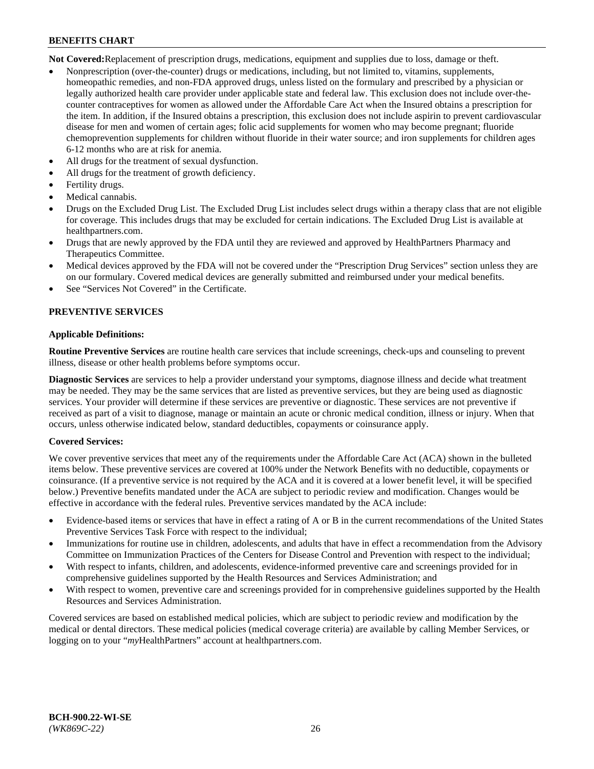**Not Covered:**Replacement of prescription drugs, medications, equipment and supplies due to loss, damage or theft.

- Nonprescription (over-the-counter) drugs or medications, including, but not limited to, vitamins, supplements, homeopathic remedies, and non-FDA approved drugs, unless listed on the formulary and prescribed by a physician or legally authorized health care provider under applicable state and federal law. This exclusion does not include over-thecounter contraceptives for women as allowed under the Affordable Care Act when the Insured obtains a prescription for the item. In addition, if the Insured obtains a prescription, this exclusion does not include aspirin to prevent cardiovascular disease for men and women of certain ages; folic acid supplements for women who may become pregnant; fluoride chemoprevention supplements for children without fluoride in their water source; and iron supplements for children ages 6-12 months who are at risk for anemia.
- All drugs for the treatment of sexual dysfunction.
- All drugs for the treatment of growth deficiency.
- Fertility drugs.
- Medical cannabis.
- Drugs on the Excluded Drug List. The Excluded Drug List includes select drugs within a therapy class that are not eligible for coverage. This includes drugs that may be excluded for certain indications. The Excluded Drug List is available at [healthpartners.com.](http://www.healthpartners.com/)
- Drugs that are newly approved by the FDA until they are reviewed and approved by HealthPartners Pharmacy and Therapeutics Committee.
- Medical devices approved by the FDA will not be covered under the "Prescription Drug Services" section unless they are on our formulary. Covered medical devices are generally submitted and reimbursed under your medical benefits.
- See "Services Not Covered" in the Certificate.

# **PREVENTIVE SERVICES**

### **Applicable Definitions:**

**Routine Preventive Services** are routine health care services that include screenings, check-ups and counseling to prevent illness, disease or other health problems before symptoms occur.

**Diagnostic Services** are services to help a provider understand your symptoms, diagnose illness and decide what treatment may be needed. They may be the same services that are listed as preventive services, but they are being used as diagnostic services. Your provider will determine if these services are preventive or diagnostic. These services are not preventive if received as part of a visit to diagnose, manage or maintain an acute or chronic medical condition, illness or injury. When that occurs, unless otherwise indicated below, standard deductibles, copayments or coinsurance apply.

### **Covered Services:**

We cover preventive services that meet any of the requirements under the Affordable Care Act (ACA) shown in the bulleted items below. These preventive services are covered at 100% under the Network Benefits with no deductible, copayments or coinsurance. (If a preventive service is not required by the ACA and it is covered at a lower benefit level, it will be specified below.) Preventive benefits mandated under the ACA are subject to periodic review and modification. Changes would be effective in accordance with the federal rules. Preventive services mandated by the ACA include:

- Evidence-based items or services that have in effect a rating of A or B in the current recommendations of the United States Preventive Services Task Force with respect to the individual;
- Immunizations for routine use in children, adolescents, and adults that have in effect a recommendation from the Advisory Committee on Immunization Practices of the Centers for Disease Control and Prevention with respect to the individual;
- With respect to infants, children, and adolescents, evidence-informed preventive care and screenings provided for in comprehensive guidelines supported by the Health Resources and Services Administration; and
- With respect to women, preventive care and screenings provided for in comprehensive guidelines supported by the Health Resources and Services Administration.

Covered services are based on established medical policies, which are subject to periodic review and modification by the medical or dental directors. These medical policies (medical coverage criteria) are available by calling Member Services, or logging on to your "*my*HealthPartners" account at [healthpartners.com.](https://www.healthpartners.com/hp/index.html)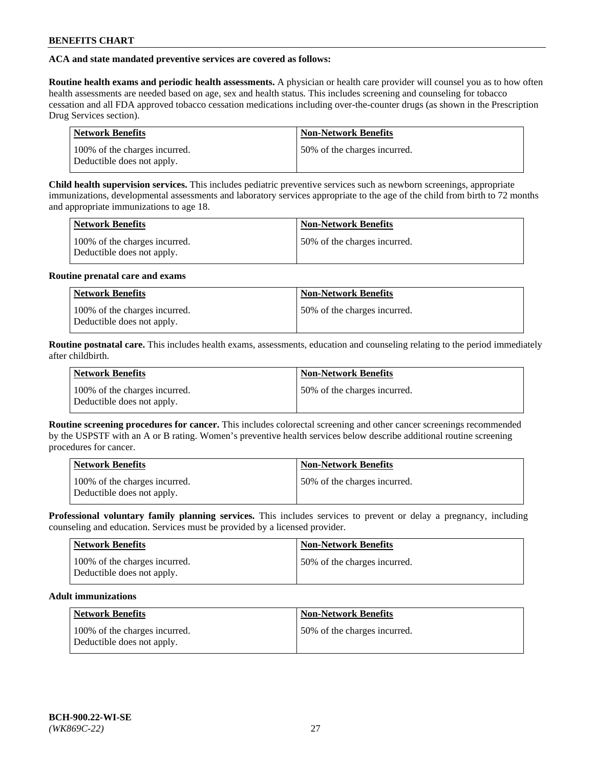# **ACA and state mandated preventive services are covered as follows:**

**Routine health exams and periodic health assessments.** A physician or health care provider will counsel you as to how often health assessments are needed based on age, sex and health status. This includes screening and counseling for tobacco cessation and all FDA approved tobacco cessation medications including over-the-counter drugs (as shown in the Prescription Drug Services section).

| <b>Network Benefits</b>                                     | <b>Non-Network Benefits</b>   |
|-------------------------------------------------------------|-------------------------------|
| 100% of the charges incurred.<br>Deductible does not apply. | 150% of the charges incurred. |

**Child health supervision services.** This includes pediatric preventive services such as newborn screenings, appropriate immunizations, developmental assessments and laboratory services appropriate to the age of the child from birth to 72 months and appropriate immunizations to age 18.

| <b>Network Benefits</b>                                     | <b>Non-Network Benefits</b>  |
|-------------------------------------------------------------|------------------------------|
| 100% of the charges incurred.<br>Deductible does not apply. | 50% of the charges incurred. |

### **Routine prenatal care and exams**

| Network Benefits                                            | <b>Non-Network Benefits</b>   |
|-------------------------------------------------------------|-------------------------------|
| 100% of the charges incurred.<br>Deductible does not apply. | 150% of the charges incurred. |

**Routine postnatal care.** This includes health exams, assessments, education and counseling relating to the period immediately after childbirth.

| <b>Network Benefits</b>                                     | <b>Non-Network Benefits</b>  |
|-------------------------------------------------------------|------------------------------|
| 100% of the charges incurred.<br>Deductible does not apply. | 50% of the charges incurred. |

**Routine screening procedures for cancer.** This includes colorectal screening and other cancer screenings recommended by the USPSTF with an A or B rating. Women's preventive health services below describe additional routine screening procedures for cancer.

| <b>Network Benefits</b>                                     | <b>Non-Network Benefits</b>   |
|-------------------------------------------------------------|-------------------------------|
| 100% of the charges incurred.<br>Deductible does not apply. | 150% of the charges incurred. |

**Professional voluntary family planning services.** This includes services to prevent or delay a pregnancy, including counseling and education. Services must be provided by a licensed provider.

| <b>Network Benefits</b>                                     | <b>Non-Network Benefits</b>  |
|-------------------------------------------------------------|------------------------------|
| 100% of the charges incurred.<br>Deductible does not apply. | 50% of the charges incurred. |

### **Adult immunizations**

| Network Benefits                                            | <b>Non-Network Benefits</b>  |
|-------------------------------------------------------------|------------------------------|
| 100% of the charges incurred.<br>Deductible does not apply. | 50% of the charges incurred. |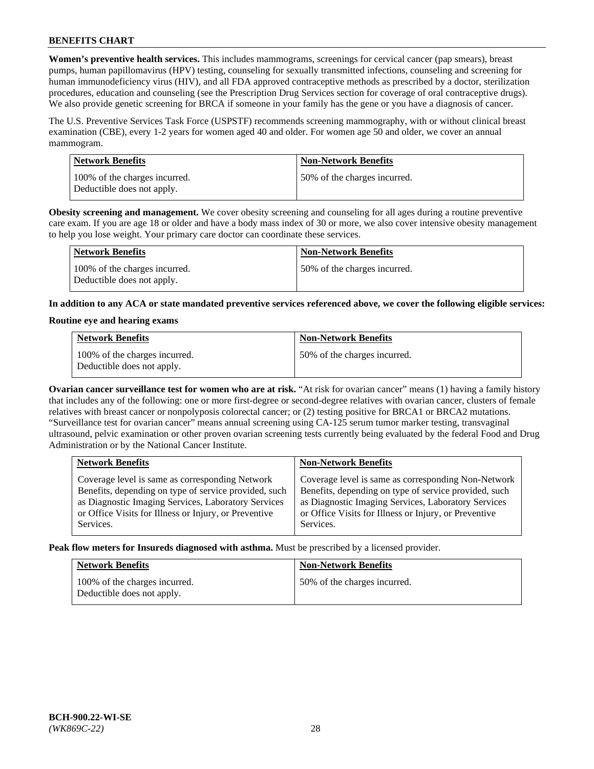**Women's preventive health services.** This includes mammograms, screenings for cervical cancer (pap smears), breast pumps, human papillomavirus (HPV) testing, counseling for sexually transmitted infections, counseling and screening for human immunodeficiency virus (HIV), and all FDA approved contraceptive methods as prescribed by a doctor, sterilization procedures, education and counseling (see the Prescription Drug Services section for coverage of oral contraceptive drugs). We also provide genetic screening for BRCA if someone in your family has the gene or you have a diagnosis of cancer.

The U.S. Preventive Services Task Force (USPSTF) recommends screening mammography, with or without clinical breast examination (CBE), every 1-2 years for women aged 40 and older. For women age 50 and older, we cover an annual mammogram.

| <b>Network Benefits</b>                                     | <b>Non-Network Benefits</b>  |
|-------------------------------------------------------------|------------------------------|
| 100% of the charges incurred.<br>Deductible does not apply. | 50% of the charges incurred. |

**Obesity screening and management.** We cover obesity screening and counseling for all ages during a routine preventive care exam. If you are age 18 or older and have a body mass index of 30 or more, we also cover intensive obesity management to help you lose weight. Your primary care doctor can coordinate these services.

| Network Benefits                                            | <b>Non-Network Benefits</b>  |
|-------------------------------------------------------------|------------------------------|
| 100% of the charges incurred.<br>Deductible does not apply. | 50% of the charges incurred. |

**In addition to any ACA or state mandated preventive services referenced above, we cover the following eligible services:**

### **Routine eye and hearing exams**

| <b>Network Benefits</b>                                     | <b>Non-Network Benefits</b>  |
|-------------------------------------------------------------|------------------------------|
| 100% of the charges incurred.<br>Deductible does not apply. | 50% of the charges incurred. |

**Ovarian cancer surveillance test for women who are at risk.** "At risk for ovarian cancer" means (1) having a family history that includes any of the following: one or more first-degree or second-degree relatives with ovarian cancer, clusters of female relatives with breast cancer or nonpolyposis colorectal cancer; or (2) testing positive for BRCA1 or BRCA2 mutations. "Surveillance test for ovarian cancer" means annual screening using CA-125 serum tumor marker testing, transvaginal ultrasound, pelvic examination or other proven ovarian screening tests currently being evaluated by the federal Food and Drug Administration or by the National Cancer Institute.

| <b>Network Benefits</b>                               | <b>Non-Network Benefits</b>                           |
|-------------------------------------------------------|-------------------------------------------------------|
| Coverage level is same as corresponding Network       | Coverage level is same as corresponding Non-Network   |
| Benefits, depending on type of service provided, such | Benefits, depending on type of service provided, such |
| as Diagnostic Imaging Services, Laboratory Services   | as Diagnostic Imaging Services, Laboratory Services   |
| or Office Visits for Illness or Injury, or Preventive | or Office Visits for Illness or Injury, or Preventive |
| Services.                                             | Services.                                             |

**Peak flow meters for Insureds diagnosed with asthma.** Must be prescribed by a licensed provider.

| <b>Network Benefits</b>                                     | <b>Non-Network Benefits</b>  |
|-------------------------------------------------------------|------------------------------|
| 100% of the charges incurred.<br>Deductible does not apply. | 50% of the charges incurred. |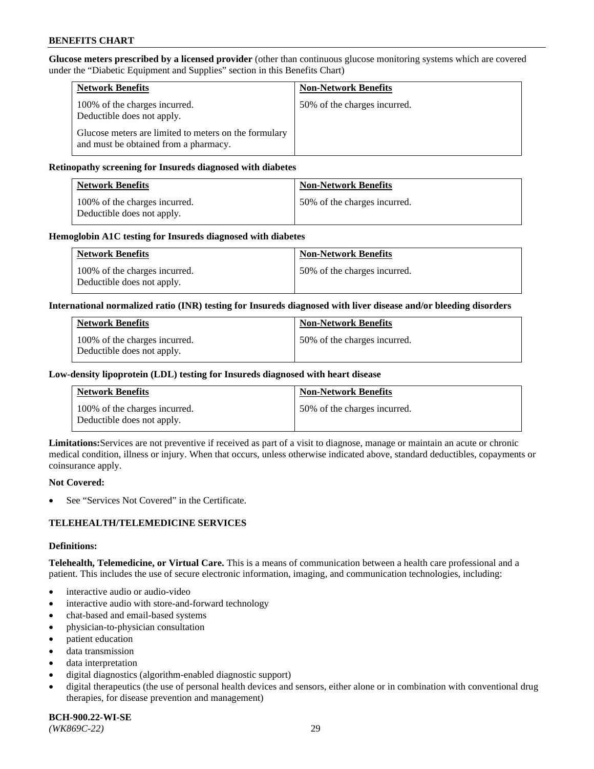**Glucose meters prescribed by a licensed provider** (other than continuous glucose monitoring systems which are covered under the "Diabetic Equipment and Supplies" section in this Benefits Chart)

| <b>Network Benefits</b>                                                                        | <b>Non-Network Benefits</b>  |
|------------------------------------------------------------------------------------------------|------------------------------|
| 100% of the charges incurred.<br>Deductible does not apply.                                    | 50% of the charges incurred. |
| Glucose meters are limited to meters on the formulary<br>and must be obtained from a pharmacy. |                              |

### **Retinopathy screening for Insureds diagnosed with diabetes**

| <b>Network Benefits</b>                                     | <b>Non-Network Benefits</b>  |
|-------------------------------------------------------------|------------------------------|
| 100% of the charges incurred.<br>Deductible does not apply. | 50% of the charges incurred. |

### **Hemoglobin A1C testing for Insureds diagnosed with diabetes**

| <b>Network Benefits</b>                                     | <b>Non-Network Benefits</b>  |
|-------------------------------------------------------------|------------------------------|
| 100% of the charges incurred.<br>Deductible does not apply. | 50% of the charges incurred. |

### **International normalized ratio (INR) testing for Insureds diagnosed with liver disease and/or bleeding disorders**

| <b>Network Benefits</b>                                     | <b>Non-Network Benefits</b>  |
|-------------------------------------------------------------|------------------------------|
| 100% of the charges incurred.<br>Deductible does not apply. | 50% of the charges incurred. |

### **Low-density lipoprotein (LDL) testing for Insureds diagnosed with heart disease**

| <b>Network Benefits</b>                                     | <b>Non-Network Benefits</b>  |
|-------------------------------------------------------------|------------------------------|
| 100% of the charges incurred.<br>Deductible does not apply. | 50% of the charges incurred. |

**Limitations:**Services are not preventive if received as part of a visit to diagnose, manage or maintain an acute or chronic medical condition, illness or injury. When that occurs, unless otherwise indicated above, standard deductibles, copayments or coinsurance apply.

#### **Not Covered:**

See "Services Not Covered" in the Certificate.

### **TELEHEALTH/TELEMEDICINE SERVICES**

#### **Definitions:**

**Telehealth, Telemedicine, or Virtual Care.** This is a means of communication between a health care professional and a patient. This includes the use of secure electronic information, imaging, and communication technologies, including:

- interactive audio or audio-video
- interactive audio with store-and-forward technology
- chat-based and email-based systems
- physician-to-physician consultation
- patient education
- data transmission
- data interpretation
- digital diagnostics (algorithm-enabled diagnostic support)
- digital therapeutics (the use of personal health devices and sensors, either alone or in combination with conventional drug therapies, for disease prevention and management)

**BCH-900.22-WI-SE**  *(WK869C-22)* 29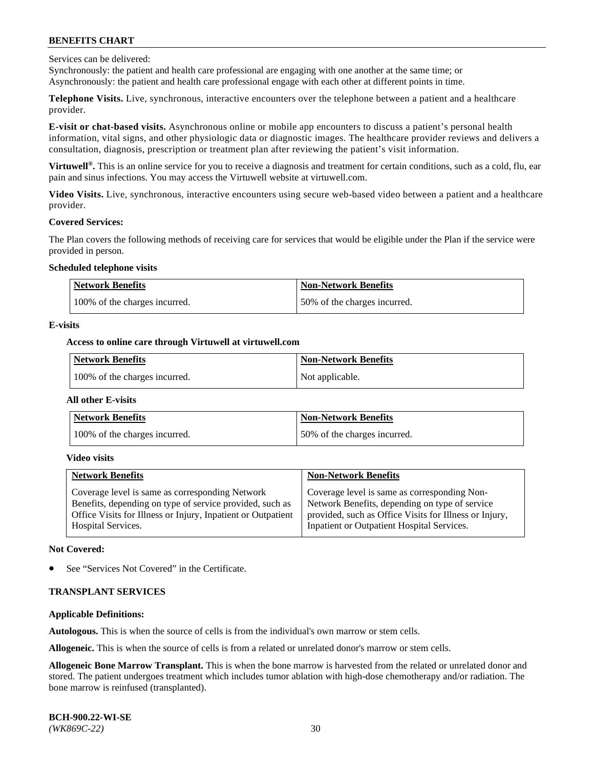Services can be delivered:

Synchronously: the patient and health care professional are engaging with one another at the same time; or Asynchronously: the patient and health care professional engage with each other at different points in time.

**Telephone Visits.** Live, synchronous, interactive encounters over the telephone between a patient and a healthcare provider.

**E-visit or chat-based visits.** Asynchronous online or mobile app encounters to discuss a patient's personal health information, vital signs, and other physiologic data or diagnostic images. The healthcare provider reviews and delivers a consultation, diagnosis, prescription or treatment plan after reviewing the patient's visit information.

**Virtuwell®.** This is an online service for you to receive a diagnosis and treatment for certain conditions, such as a cold, flu, ear pain and sinus infections. You may access the Virtuwell website at [virtuwell.com.](https://www.virtuwell.com/)

**Video Visits.** Live, synchronous, interactive encounters using secure web-based video between a patient and a healthcare provider.

#### **Covered Services:**

The Plan covers the following methods of receiving care for services that would be eligible under the Plan if the service were provided in person.

### **Scheduled telephone visits**

| <b>Network Benefits</b>       | <b>Non-Network Benefits</b>  |
|-------------------------------|------------------------------|
| 100% of the charges incurred. | 50% of the charges incurred. |

### **E-visits**

### **Access to online care through Virtuwell at [virtuwell.com](https://www.virtuwell.com/)**

| Network Benefits              | <b>Non-Network Benefits</b> |
|-------------------------------|-----------------------------|
| 100% of the charges incurred. | Not applicable.             |

#### **All other E-visits**

| <b>Network Benefits</b>       | <b>Non-Network Benefits</b>  |
|-------------------------------|------------------------------|
| 100% of the charges incurred. | 50% of the charges incurred. |

#### **Video visits**

| <b>Network Benefits</b>                                      | <b>Non-Network Benefits</b>                            |
|--------------------------------------------------------------|--------------------------------------------------------|
| Coverage level is same as corresponding Network              | Coverage level is same as corresponding Non-           |
| Benefits, depending on type of service provided, such as     | Network Benefits, depending on type of service         |
| Office Visits for Illness or Injury, Inpatient or Outpatient | provided, such as Office Visits for Illness or Injury, |
| <b>Hospital Services.</b>                                    | Inpatient or Outpatient Hospital Services.             |

#### **Not Covered:**

See "Services Not Covered" in the Certificate.

### **TRANSPLANT SERVICES**

### **Applicable Definitions:**

**Autologous.** This is when the source of cells is from the individual's own marrow or stem cells.

**Allogeneic.** This is when the source of cells is from a related or unrelated donor's marrow or stem cells.

**Allogeneic Bone Marrow Transplant.** This is when the bone marrow is harvested from the related or unrelated donor and stored. The patient undergoes treatment which includes tumor ablation with high-dose chemotherapy and/or radiation. The bone marrow is reinfused (transplanted).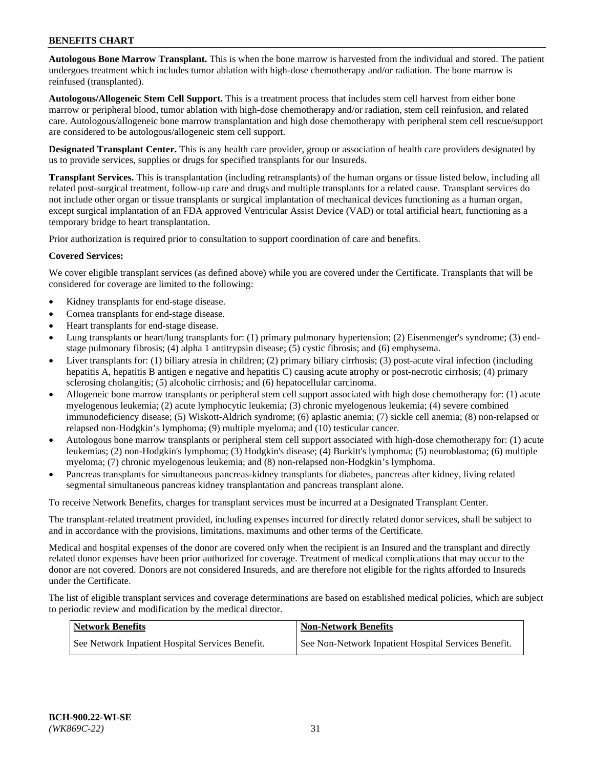**Autologous Bone Marrow Transplant.** This is when the bone marrow is harvested from the individual and stored. The patient undergoes treatment which includes tumor ablation with high-dose chemotherapy and/or radiation. The bone marrow is reinfused (transplanted).

**Autologous/Allogeneic Stem Cell Support.** This is a treatment process that includes stem cell harvest from either bone marrow or peripheral blood, tumor ablation with high-dose chemotherapy and/or radiation, stem cell reinfusion, and related care. Autologous/allogeneic bone marrow transplantation and high dose chemotherapy with peripheral stem cell rescue/support are considered to be autologous/allogeneic stem cell support.

**Designated Transplant Center.** This is any health care provider, group or association of health care providers designated by us to provide services, supplies or drugs for specified transplants for our Insureds.

**Transplant Services.** This is transplantation (including retransplants) of the human organs or tissue listed below, including all related post-surgical treatment, follow-up care and drugs and multiple transplants for a related cause. Transplant services do not include other organ or tissue transplants or surgical implantation of mechanical devices functioning as a human organ, except surgical implantation of an FDA approved Ventricular Assist Device (VAD) or total artificial heart, functioning as a temporary bridge to heart transplantation.

Prior authorization is required prior to consultation to support coordination of care and benefits.

### **Covered Services:**

We cover eligible transplant services (as defined above) while you are covered under the Certificate. Transplants that will be considered for coverage are limited to the following:

- Kidney transplants for end-stage disease.
- Cornea transplants for end-stage disease.
- Heart transplants for end-stage disease.
- Lung transplants or heart/lung transplants for: (1) primary pulmonary hypertension; (2) Eisenmenger's syndrome; (3) endstage pulmonary fibrosis; (4) alpha 1 antitrypsin disease; (5) cystic fibrosis; and (6) emphysema.
- Liver transplants for: (1) biliary atresia in children; (2) primary biliary cirrhosis; (3) post-acute viral infection (including hepatitis A, hepatitis B antigen e negative and hepatitis C) causing acute atrophy or post-necrotic cirrhosis; (4) primary sclerosing cholangitis; (5) alcoholic cirrhosis; and (6) hepatocellular carcinoma.
- Allogeneic bone marrow transplants or peripheral stem cell support associated with high dose chemotherapy for: (1) acute myelogenous leukemia; (2) acute lymphocytic leukemia; (3) chronic myelogenous leukemia; (4) severe combined immunodeficiency disease; (5) Wiskott-Aldrich syndrome; (6) aplastic anemia; (7) sickle cell anemia; (8) non-relapsed or relapsed non-Hodgkin's lymphoma; (9) multiple myeloma; and (10) testicular cancer.
- Autologous bone marrow transplants or peripheral stem cell support associated with high-dose chemotherapy for: (1) acute leukemias; (2) non-Hodgkin's lymphoma; (3) Hodgkin's disease; (4) Burkitt's lymphoma; (5) neuroblastoma; (6) multiple myeloma; (7) chronic myelogenous leukemia; and (8) non-relapsed non-Hodgkin's lymphoma.
- Pancreas transplants for simultaneous pancreas-kidney transplants for diabetes, pancreas after kidney, living related segmental simultaneous pancreas kidney transplantation and pancreas transplant alone.

To receive Network Benefits, charges for transplant services must be incurred at a Designated Transplant Center.

The transplant-related treatment provided, including expenses incurred for directly related donor services, shall be subject to and in accordance with the provisions, limitations, maximums and other terms of the Certificate.

Medical and hospital expenses of the donor are covered only when the recipient is an Insured and the transplant and directly related donor expenses have been prior authorized for coverage. Treatment of medical complications that may occur to the donor are not covered. Donors are not considered Insureds, and are therefore not eligible for the rights afforded to Insureds under the Certificate.

The list of eligible transplant services and coverage determinations are based on established medical policies, which are subject to periodic review and modification by the medical director.

| Network Benefits                                 | <b>Non-Network Benefits</b>                          |
|--------------------------------------------------|------------------------------------------------------|
| See Network Inpatient Hospital Services Benefit. | See Non-Network Inpatient Hospital Services Benefit. |